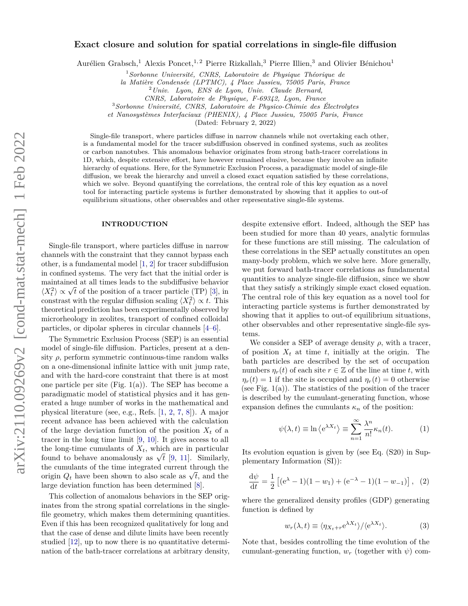# **Exact closure and solution for spatial correlations in single-file diffusion**

Aurélien Grabsch,<sup>1</sup> Alexis Poncet,<sup>1,2</sup> Pierre Rizkallah,<sup>3</sup> Pierre Illien,<sup>3</sup> and Olivier Bénichou<sup>1</sup>

<sup>1</sup>*Sorbonne Université, CNRS, Laboratoire de Physique Théorique de*

*la Matière Condensée (LPTMC), 4 Place Jussieu, 75005 Paris, France*

<sup>2</sup>*Univ. Lyon, ENS de Lyon, Univ. Claude Bernard,*

*CNRS, Laboratoire de Physique, F-69342, Lyon, France*

<sup>3</sup>*Sorbonne Université, CNRS, Laboratoire de Physico-Chimie des Électrolytes*

*et Nanosystèmes Interfaciaux (PHENIX), 4 Place Jussieu, 75005 Paris, France*

(Dated: February 2, 2022)

Single-file transport, where particles diffuse in narrow channels while not overtaking each other, is a fundamental model for the tracer subdiffusion observed in confined systems, such as zeolites or carbon nanotubes. This anomalous behavior originates from strong bath-tracer correlations in 1D, which, despite extensive effort, have however remained elusive, because they involve an infinite hierarchy of equations. Here, for the Symmetric Exclusion Process, a paradigmatic model of single-file diffusion, we break the hierarchy and unveil a closed exact equation satisfied by these correlations, which we solve. Beyond quantifying the correlations, the central role of this key equation as a novel tool for interacting particle systems is further demonstrated by showing that it applies to out-of equilibrium situations, other observables and other representative single-file systems.

## **INTRODUCTION**

Single-file transport, where particles diffuse in narrow channels with the constraint that they cannot bypass each other, is a fundamental model [\[1,](#page-5-0) [2\]](#page-5-1) for tracer subdiffusion in confined systems. The very fact that the initial order is maintained at all times leads to the subdiffusive behavior maintained at all times leads to the subdiffusive behavior  $\langle X_t^2 \rangle \propto \sqrt{t}$  of the position of a tracer particle (TP) [\[3\]](#page-5-2), in constrast with the regular diffusion scaling  $\langle X_t^2 \rangle \propto t$ . This theoretical prediction has been experimentally observed by microrheology in zeolites, transport of confined colloidal particles, or dipolar spheres in circular channels [\[4–](#page-5-3)[6\]](#page-5-4).

The Symmetric Exclusion Process (SEP) is an essential model of single-file diffusion. Particles, present at a density  $\rho$ , perform symmetric continuous-time random walks on a one-dimensional infinite lattice with unit jump rate, and with the hard-core constraint that there is at most one particle per site (Fig. 1(a)). The SEP has become a paradigmatic model of statistical physics and it has generated a huge number of works in the mathematical and physical literature (see, e.g., Refs. [\[1,](#page-5-0) [2,](#page-5-1) [7,](#page-5-5) [8\]](#page-5-6)). A major recent advance has been achieved with the calculation of the large deviation function of the position  $X_t$  of a tracer in the long time limit [\[9,](#page-5-7) [10\]](#page-5-8). It gives access to all the long-time cumulants of *Xt*, which are in particular the long-time cumulants of  $X_t$ , which are in particular found to behave anomalously as  $\sqrt{t}$  [\[9,](#page-5-7) [11\]](#page-5-9). Similarly, the cumulants of the time integrated current through the origin  $Q_t$  have been shown to also scale as  $\sqrt{t}$ , and the large deviation function has been determined [\[8\]](#page-5-6).

This collection of anomalous behaviors in the SEP originates from the strong spatial correlations in the singlefile geometry, which makes them determining quantities. Even if this has been recognized qualitatively for long and that the case of dense and dilute limits have been recently studied [\[12\]](#page-5-10), up to now there is no quantitative determination of the bath-tracer correlations at arbitrary density, despite extensive effort. Indeed, although the SEP has been studied for more than 40 years, analytic formulas for these functions are still missing. The calculation of these correlations in the SEP actually constitutes an open many-body problem, which we solve here. More generally, we put forward bath-tracer correlations as fundamental quantities to analyze single-file diffusion, since we show that they satisfy a strikingly simple exact closed equation. The central role of this key equation as a novel tool for interacting particle systems is further demonstrated by showing that it applies to out-of equilibrium situations, other observables and other representative single-file systems.

We consider a SEP of average density  $\rho$ , with a tracer, of position  $X_t$  at time  $t$ , initially at the origin. The bath particles are described by the set of occupation numbers  $\eta_r(t)$  of each site  $r \in \mathbb{Z}$  of the line at time *t*, with  $\eta_r(t) = 1$  if the site is occupied and  $\eta_r(t) = 0$  otherwise (see Fig.  $1(a)$ ). The statistics of the position of the tracer is described by the cumulant-generating function, whose expansion defines the cumulants  $\kappa_n$  of the position:

<span id="page-0-0"></span>
$$
\psi(\lambda, t) \equiv \ln \left\langle e^{\lambda X_t} \right\rangle \equiv \sum_{n=1}^{\infty} \frac{\lambda^n}{n!} \kappa_n(t). \tag{1}
$$

Its evolution equation is given by (see Eq. (S20) in Supplementary Information (SI)):

<span id="page-0-1"></span>
$$
\frac{d\psi}{dt} = \frac{1}{2} \left[ (e^{\lambda} - 1)(1 - w_1) + (e^{-\lambda} - 1)(1 - w_{-1}) \right], (2)
$$

where the generalized density profiles (GDP) generating function is defined by

<span id="page-0-2"></span>
$$
w_r(\lambda, t) \equiv \langle \eta_{X_t + r} e^{\lambda X_t} \rangle / \langle e^{\lambda X_t} \rangle.
$$
 (3)

Note that, besides controlling the time evolution of the cumulant-generating function,  $w_r$  (together with  $\psi$ ) com-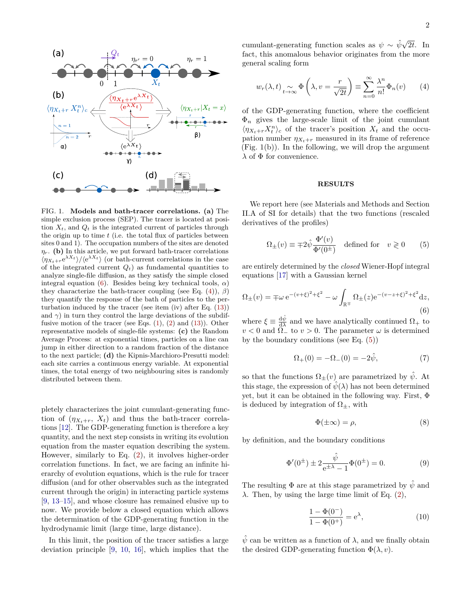

FIG. 1. **Models and bath-tracer correlations. (a)** The simple exclusion process (SEP). The tracer is located at position  $X_t$ , and  $Q_t$  is the integrated current of particles through the origin up to time *t* (i.e. the total flux of particles between sites 0 and 1). The occupation numbers of the sites are denoted  $\eta_r$ . **(b)** In this article, we put forward bath-tracer correlations  $\langle \eta_{X_t+r} e^{\lambda X_t} \rangle / \langle e^{\lambda X_t} \rangle$  (or bath-current correlations in the case of the integrated current  $Q_t$ ) as fundamental quantities to analyze single-file diffusion, as they satisfy the simple closed integral equation [\(6\)](#page-1-0). Besides being key technical tools,  $\alpha$ ) they characterize the bath-tracer coupling (see Eq. [\(4\)](#page-1-1)), *β*) they quantify the response of the bath of particles to the perturbation induced by the tracer (see item (iv) after Eq. [\(13\)](#page-2-0)) and  $\gamma$ ) in turn they control the large deviations of the subdiffusive motion of the tracer (see Eqs.  $(1)$ ,  $(2)$  and  $(13)$ ). Other representative models of single-file systems: **(c)** the Random Average Process: at exponential times, particles on a line can jump in either direction to a random fraction of the distance to the next particle; **(d)** the Kipnis-Marchioro-Presutti model: each site carries a continuous energy variable. At exponential times, the total energy of two neighbouring sites is randomly distributed between them.

pletely characterizes the joint cumulant-generating function of  $(\eta_{X_t+r}, X_t)$  and thus the bath-tracer correlations [\[12\]](#page-5-10). The GDP-generating function is therefore a key quantity, and the next step consists in writing its evolution equation from the master equation describing the system. However, similarly to Eq. [\(2\)](#page-0-1), it involves higher-order correlation functions. In fact, we are facing an infinite hierarchy of evolution equations, which is the rule for tracer diffusion (and for other observables such as the integrated current through the origin) in interacting particle systems [\[9,](#page-5-7) [13–](#page-5-11)[15\]](#page-5-12), and whose closure has remained elusive up to now. We provide below a closed equation which allows the determination of the GDP-generating function in the hydrodynamic limit (large time, large distance).

In this limit, the position of the tracer satisfies a large deviation principle [\[9,](#page-5-7) [10,](#page-5-8) [16\]](#page-5-13), which implies that the

cumulant-generating function scales as  $\psi \sim \hat{\psi}\sqrt{\hat{\psi}}$ 2*t*. In fact, this anomalous behavior originates from the more general scaling form

<span id="page-1-1"></span>
$$
w_r(\lambda, t) \underset{t \to \infty}{\sim} \Phi\left(\lambda, v = \frac{r}{\sqrt{2t}}\right) \equiv \sum_{n=0}^{\infty} \frac{\lambda^n}{n!} \Phi_n(v) \qquad (4)
$$

of the GDP-generating function, where the coefficient  $\Phi_n$  gives the large-scale limit of the joint cumulant  $\langle \eta_{X_t+r} X_t^n \rangle_c$  of the tracer's position  $X_t$  and the occupation number  $\eta_{X_t+r}$  measured in its frame of reference  $(Fig. 1(b))$ . In the following, we will drop the argument  $λ$  of  $Φ$  for convenience.

## **RESULTS**

We report here (see Materials and Methods and Section II.A of SI for details) that the two functions (rescaled derivatives of the profiles)

<span id="page-1-2"></span>
$$
\Omega_{\pm}(v) \equiv \mp 2\hat{\psi} \frac{\Phi'(v)}{\Phi'(0^{\pm})} \quad \text{defined for} \quad v \geq 0 \tag{5}
$$

are entirely determined by the *closed* Wiener-Hopf integral equations [\[17\]](#page-5-14) with a Gaussian kernel

<span id="page-1-0"></span>
$$
\Omega_{\pm}(v) = \mp \omega e^{-(v+\xi)^2 + \xi^2} - \omega \int_{\mathbb{R}^{\mp}} \Omega_{\pm}(z) e^{-(v-z+\xi)^2 + \xi^2} dz,
$$
\n(6)

where  $\xi \equiv \frac{d\hat{\psi}}{d\lambda}$  and we have analytically continued  $\Omega_+$  to  $v < 0$  and  $\Omega$ <sub>-</sub> to  $v > 0$ . The parameter  $\omega$  is determined by the boundary conditions (see Eq. [\(5\)](#page-1-2))

$$
\Omega_{+}(0) = -\Omega_{-}(0) = -2\hat{\psi},\tag{7}
$$

so that the functions  $\Omega_{+}(v)$  are parametrized by  $\hat{\psi}$ . At this stage, the expression of  $\hat{\psi}(\lambda)$  has not been determined yet, but it can be obtained in the following way. First, Φ is deduced by integration of  $\Omega_{\pm}$ , with

<span id="page-1-4"></span>
$$
\Phi(\pm \infty) = \rho,\tag{8}
$$

by definition, and the boundary conditions

<span id="page-1-3"></span>
$$
\Phi'(0^{\pm}) \pm 2 \frac{\hat{\psi}}{e^{\pm \lambda} - 1} \Phi(0^{\pm}) = 0.
$$
 (9)

The resulting  $\Phi$  are at this stage parametrized by  $\hat{\psi}$  and *λ*. Then, by using the large time limit of Eq.  $(2)$ ,

<span id="page-1-5"></span>
$$
\frac{1 - \Phi(0^{-})}{1 - \Phi(0^{+})} = e^{\lambda},
$$
\n(10)

 $\hat{\psi}$  can be written as a function of  $\lambda$ , and we finally obtain the desired GDP-generating function  $\Phi(\lambda, v)$ .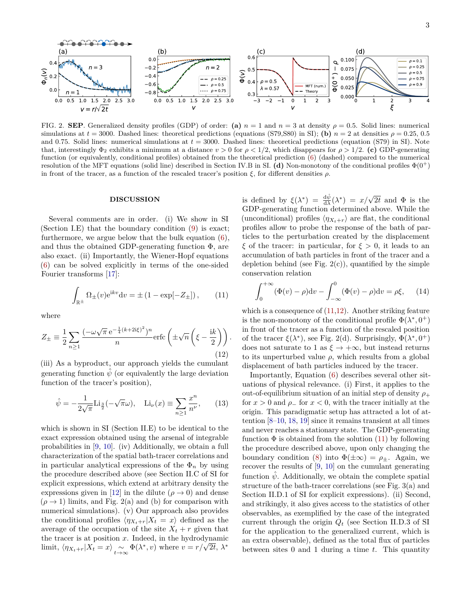

FIG. 2. **SEP**. Generalized density profiles (GDP) of order: (a)  $n = 1$  and  $n = 3$  at density  $\rho = 0.5$ . Solid lines: numerical simulations at  $t = 3000$ . Dashed lines: theoretical predictions (equations (S79,S80) in SI); **(b)**  $n = 2$  at densities  $\rho = 0.25$ , 0.5 and 0*.*75. Solid lines: numerical simulations at *t* = 3000. Dashed lines: theoretical predictions (equation (S79) in SI). Note that, interestingly  $\Phi_2$  exhibits a minimum at a distance  $v > 0$  for  $ρ < 1/2$ , which disappears for  $ρ > 1/2$ . (c) GDP-generating function (or equivalently, conditional profiles) obtained from the theoretical prediction [\(6\)](#page-1-0) (dashed) compared to the numerical resolution of the MFT equations (solid line) described in Section IV.B in SI. (d) Non-monotony of the conditional profiles  $\Phi(0^+)$ in front of the tracer, as a function of the rescaled tracer's position  $\xi$ , for different densities  $\rho$ .

# **DISCUSSION**

Several comments are in order. (i) We show in SI (Section I.E) that the boundary condition [\(9\)](#page-1-3) is exact; furthermore, we argue below that the bulk equation  $(6)$ , and thus the obtained GDP-generating function  $\Phi$ , are also exact. (ii) Importantly, the Wiener-Hopf equations [\(6\)](#page-1-0) can be solved explicitly in terms of the one-sided Fourier transforms [\[17\]](#page-5-14):

<span id="page-2-1"></span>
$$
\int_{\mathbb{R}^{\pm}} \Omega_{\pm}(v) e^{ikv} dv = \pm (1 - \exp[-Z_{\pm}]), \qquad (11)
$$

where

<span id="page-2-2"></span>
$$
Z_{\pm} \equiv \frac{1}{2} \sum_{n \ge 1} \frac{(-\omega \sqrt{\pi} e^{-\frac{1}{4}(k+2i\xi)^2})^n}{n} \text{erfc}\left(\pm \sqrt{n}\left(\xi - \frac{ik}{2}\right)\right). \tag{12}
$$

(iii) As a byproduct, our approach yields the cumulant generating function  $\hat{\psi}$  (or equivalently the large deviation function of the tracer's position),

<span id="page-2-0"></span>
$$
\hat{\psi} = -\frac{1}{2\sqrt{\pi}} \text{Li}_{\frac{3}{2}}(-\sqrt{\pi}\omega), \quad \text{Li}_{\nu}(x) \equiv \sum_{n \ge 1} \frac{x^n}{n^{\nu}}, \qquad (13)
$$

which is shown in SI (Section II.E) to be identical to the exact expression obtained using the arsenal of integrable probabilities in [\[9,](#page-5-7) [10\]](#page-5-8). (iv) Additionally, we obtain a full characterization of the spatial bath-tracer correlations and in particular analytical expressions of the  $\Phi_n$  by using the procedure described above (see Section II.C of SI for explicit expressions, which extend at arbitrary density the expressions given in [\[12\]](#page-5-10) in the dilute ( $\rho \rightarrow 0$ ) and dense  $(\rho \rightarrow 1)$  limits, and Fig. 2(a) and (b) for comparison with numerical simulations). (v) Our approach also provides the conditional profiles  $\langle \eta_{X_t+r} | X_t = x \rangle$  defined as the average of the occupation of the site  $X_t + r$  given that the tracer is at position *x*. Indeed, in the hydrodynamic limit,  $\langle \eta_{X_t+r} | X_t = x \rangle \sim_{t \to \infty} \Phi(\lambda^*, v)$  where  $v = r/\sqrt{2t}, \lambda^*$ 

is defined by  $\xi(\lambda^*) = \frac{d\hat{\psi}}{d\lambda}(\lambda^*) = x/\sqrt{2t}$  and  $\Phi$  is the GDP-generating function determined above. While the (unconditional) profiles  $\langle \eta_{X_t+r} \rangle$  are flat, the conditional profiles allow to probe the response of the bath of particles to the perturbation created by the displacement *ξ* of the tracer: in particular, for *ξ >* 0, it leads to an accumulation of bath particles in front of the tracer and a depletion behind (see Fig.  $2(c)$ ), quantified by the simple conservation relation

$$
\int_0^{+\infty} (\Phi(v) - \rho) dv - \int_{-\infty}^0 (\Phi(v) - \rho) dv = \rho \xi, \quad (14)
$$

which is a consequence of  $(11.12)$  $(11.12)$ . Another striking feature is the non-monotony of the conditional profile  $\Phi(\lambda^*, 0^+)$ in front of the tracer as a function of the rescaled position of the tracer  $\xi(\lambda^*)$ , see Fig. 2(d). Surprisingly,  $\Phi(\lambda^*, 0^+)$ does not saturate to 1 as  $\xi \to +\infty$ , but instead returns to its unperturbed value  $\rho$ , which results from a global displacement of bath particles induced by the tracer.

Importantly, Equation [\(6\)](#page-1-0) describes several other situations of physical relevance. (i) First, it applies to the out-of-equilibrium situation of an initial step of density *ρ*<sup>+</sup> for  $x > 0$  and  $\rho_+$  for  $x < 0$ , with the tracer initially at the origin. This paradigmatic setup has attracted a lot of attention [\[8](#page-5-6)[–10,](#page-5-8) [18,](#page-5-15) [19\]](#page-5-16) since it remains transient at all times and never reaches a stationary state. The GDP-generating function  $\Phi$  is obtained from the solution [\(11\)](#page-2-1) by following the procedure described above, upon only changing the boundary condition [\(8\)](#page-1-4) into  $\Phi(\pm\infty) = \rho_{\pm}$ . Again, we recover the results of [\[9,](#page-5-7) [10\]](#page-5-8) on the cumulant generating function  $\hat{\psi}$ . Additionally, we obtain the complete spatial structure of the bath-tracer correlations (see Fig. 3(a) and Section II.D.1 of SI for explicit expressions). (ii) Second, and strikingly, it also gives access to the statistics of other observables, as exemplified by the case of the integrated current through the origin *Q<sup>t</sup>* (see Section II.D.3 of SI for the application to the generalized current, which is an extra observable), defined as the total flux of particles between sites 0 and 1 during a time *t*. This quantity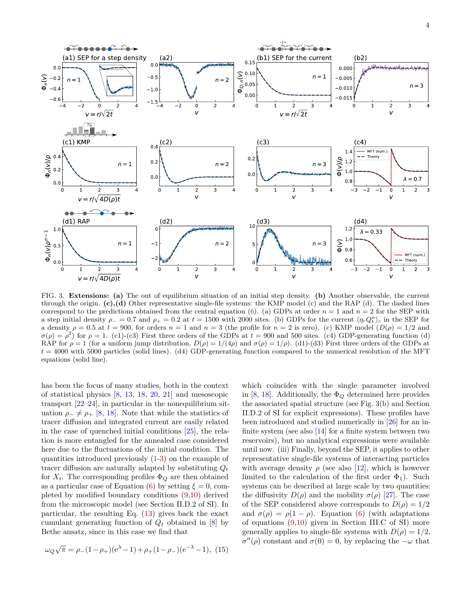

FIG. 3. **Extensions: (a)** The out of equilibrium situation of an initial step density. **(b)** Another observable, the current through the origin. **(c),(d)** Other representative single-file systems: the KMP model (c) and the RAP (d). The dashed lines correspond to the predictions obtained from the central equation [\(6\)](#page-1-0). (a) GDPs at order  $n = 1$  and  $n = 2$  for the SEP with a step initial density  $\rho = 0.7$  and  $\rho_+ = 0.2$  at  $t = 1500$  with 2000 sites. (b) GDPs for the current  $\langle \eta_r Q_t^n \rangle_c$  in the SEP for a density  $\rho = 0.5$  at  $t = 900$ , for orders  $n = 1$  and  $n = 3$  (the profile for  $n = 2$  is zero). (c) KMP model  $(D(\rho) = 1/2$  and  $\sigma(\rho) = \rho^2$  for  $\rho = 1$ . (c1)-(c3) First three orders of the GDPs at  $t = 900$  and 500 sites. (c4) GDP-generating function (d) RAP for  $\rho = 1$  (for a uniform jump distribution,  $D(\rho) = 1/(4\rho)$  and  $\sigma(\rho) = 1/\rho$ ). (d1)-(d3) First three orders of the GDPs at  $t = 4000$  with 5000 particles (solid lines). (d4) GDP-generating function compared to the numerical resolution of the MFT equations (solid line).

has been the focus of many studies, both in the context of statistical physics [\[8,](#page-5-6) [13,](#page-5-11) [18,](#page-5-15) [20,](#page-5-17) [21\]](#page-5-18) and mesoscopic transport [\[22](#page-5-19)[–24\]](#page-5-20), in particular in the nonequilibrium situation  $\rho_-\neq \rho_+$  [\[8,](#page-5-6) [18\]](#page-5-15). Note that while the statistics of tracer diffusion and integrated current are easily related in the case of quenched initial conditions [\[25\]](#page-5-21), the relation is more entangled for the annealed case considered here due to the fluctuations of the initial condition. The quantities introduced previously [\(1-](#page-0-0)[3\)](#page-0-2) on the example of tracer diffusion are naturally adapted by substituting *Q<sup>t</sup>* for  $X_t$ . The corresponding profiles  $\Phi_Q$  are then obtained as a particular case of Equation [\(6\)](#page-1-0) by setting  $\xi = 0$ , completed by modified boundary conditions [\(9,](#page-1-3)[10\)](#page-1-5) derived from the microscopic model (see Section II.D.2 of SI). In particular, the resulting Eq. [\(13\)](#page-2-0) gives back the exact cumulant generating function of  $Q_t$  obtained in [\[8\]](#page-5-6) by Bethe ansatz, since in this case we find that

$$
\omega_Q \sqrt{\pi} = \rho_-(1 - \rho_+)(e^{\lambda} - 1) + \rho_+(1 - \rho_-)(e^{-\lambda} - 1), (15)
$$

which coincides with the single parameter involved in [\[8,](#page-5-6) [18\]](#page-5-15). Additionally, the  $\Phi_Q$  determined here provides the associated spatial structure (see Fig. 3(b) and Section II.D.2 of SI for explicit expressions). These profiles have been introduced and studied numerically in [\[26\]](#page-5-22) for an infinite system (see also [\[14\]](#page-5-23) for a finite system between two reservoirs), but no analytical expressions were available until now. (iii) Finally, beyond the SEP, it applies to other representative single-file systems of interacting particles with average density  $\rho$  (see also [\[12\]](#page-5-10), which is however limited to the calculation of the first order  $\Phi_1$ ). Such systems can be described at large scale by two quantities: the diffusivity  $D(\rho)$  and the mobility  $\sigma(\rho)$  [\[27\]](#page-5-24). The case of the SEP considered above corresponds to  $D(\rho) = 1/2$ and  $\sigma(\rho) = \rho(1-\rho)$ . Equation [\(6\)](#page-1-0) (with adaptations of equations [\(9](#page-1-3)[,10\)](#page-1-5) given in Section III.C of SI) more generally applies to single-file systems with  $D(\rho) = 1/2$ ,  $\sigma''(\rho)$  constant and  $\sigma(0) = 0$ , by replacing the  $-\omega$  that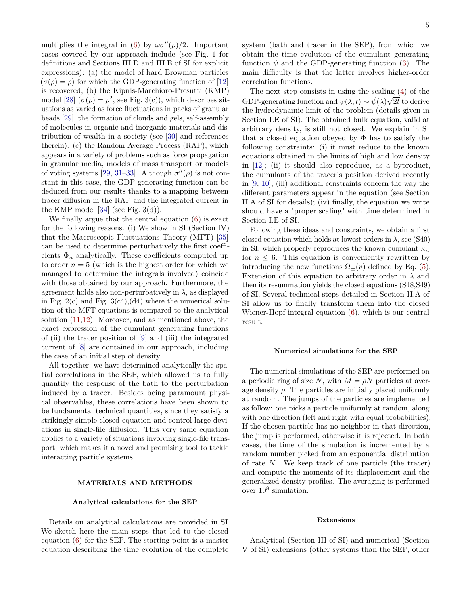multiplies the integral in [\(6\)](#page-1-0) by  $\omega \sigma''(\rho)/2$ . Important cases covered by our approach include (see Fig. 1 for definitions and Sections III.D and III.E of SI for explicit expressions): (a) the model of hard Brownian particles  $(\sigma(\rho) = \rho)$  for which the GDP-generating function of [\[12\]](#page-5-10) is recovered; (b) the Kipnis-Marchioro-Presutti (KMP) model [\[28\]](#page-5-25)  $(\sigma(\rho) = \rho^2$ , see Fig. 3(c)), which describes situations as varied as force fluctuations in packs of granular beads [\[29\]](#page-5-26), the formation of clouds and gels, self-assembly of molecules in organic and inorganic materials and distribution of wealth in a society (see [\[30\]](#page-5-27) and references therein). (c) the Random Average Process (RAP), which appears in a variety of problems such as force propagation in granular media, models of mass transport or models of voting systems [\[29,](#page-5-26) [31](#page-5-28)[–33\]](#page-5-29). Although  $\sigma''(\rho)$  is not constant in this case, the GDP-generating function can be deduced from our results thanks to a mapping between tracer diffusion in the RAP and the integrated current in the KMP model  $[34]$  (see Fig. 3(d)).

We finally argue that the central equation [\(6\)](#page-1-0) is exact for the following reasons. (i) We show in SI (Section IV) that the Macroscopic Fluctuations Theory (MFT) [\[35\]](#page-5-31) can be used to determine perturbatively the first coefficients  $\Phi_n$  analytically. These coefficients computed up to order  $n = 5$  (which is the highest order for which we managed to determine the integrals involved) coincide with those obtained by our approach. Furthermore, the agreement holds also non-perturbatively in  $\lambda$ , as displayed in Fig. 2(c) and Fig. 3(c4),(d4) where the numerical solution of the MFT equations is compared to the analytical solution [\(11,](#page-2-1)[12\)](#page-2-2). Moreover, and as mentioned above, the exact expression of the cumulant generating functions of (ii) the tracer position of [\[9\]](#page-5-7) and (iii) the integrated current of [\[8\]](#page-5-6) are contained in our approach, including the case of an initial step of density.

All together, we have determined analytically the spatial correlations in the SEP, which allowed us to fully quantify the response of the bath to the perturbation induced by a tracer. Besides being paramount physical observables, these correlations have been shown to be fundamental technical quantities, since they satisfy a strikingly simple closed equation and control large deviations in single-file diffusion. This very same equation applies to a variety of situations involving single-file transport, which makes it a novel and promising tool to tackle interacting particle systems.

## **MATERIALS AND METHODS**

#### **Analytical calculations for the SEP**

Details on analytical calculations are provided in SI. We sketch here the main steps that led to the closed equation [\(6\)](#page-1-0) for the SEP. The starting point is a master equation describing the time evolution of the complete

system (bath and tracer in the SEP), from which we obtain the time evolution of the cumulant generating function  $\psi$  and the GDP-generating function [\(3\)](#page-0-2). The main difficulty is that the latter involves higher-order correlation functions.

The next step consists in using the scaling  $(4)$  of the GDP-generating function and  $\psi(\lambda, t) \sim \hat{\psi}(\lambda)\sqrt{2t}$  to derive the hydrodynamic limit of the problem (details given in Section I.E of SI). The obtained bulk equation, valid at arbitrary density, is still not closed. We explain in SI that a closed equation obeyed by  $\Phi$  has to satisfy the following constraints: (i) it must reduce to the known equations obtained in the limits of high and low density in [\[12\]](#page-5-10); (ii) it should also reproduce, as a byproduct, the cumulants of the tracer's position derived recently in [\[9,](#page-5-7) [10\]](#page-5-8); (iii) additional constraints concern the way the different parameters appear in the equation (see Section II.A of SI for details); (iv) finally, the equation we write should have a "proper scaling" with time determined in Section I.E of SI.

Following these ideas and constraints, we obtain a first closed equation which holds at lowest orders in  $\lambda$ , see (S40) in SI, which properly reproduces the known cumulant  $\kappa_n$ for  $n \leq 6$ . This equation is conveniently rewritten by introducing the new functions  $\Omega_{+}(v)$  defined by Eq. [\(5\)](#page-1-2). Extension of this equation to arbitrary order in  $\lambda$  and then its resummation yields the closed equations (S48,S49) of SI. Several technical steps detailed in Section II.A of SI allow us to finally transform them into the closed Wiener-Hopf integral equation [\(6\)](#page-1-0), which is our central result.

#### **Numerical simulations for the SEP**

The numerical simulations of the SEP are performed on a periodic ring of size N, with  $M = \rho N$  particles at average density  $\rho$ . The particles are initially placed uniformly at random. The jumps of the particles are implemented as follow: one picks a particle uniformly at random, along with one direction (left and right with equal probabilities). If the chosen particle has no neighbor in that direction, the jump is performed, otherwise it is rejected. In both cases, the time of the simulation is incremented by a random number picked from an exponential distribution of rate *N*. We keep track of one particle (the tracer) and compute the moments of its displacement and the generalized density profiles. The averaging is performed over 10<sup>8</sup> simulation.

#### **Extensions**

Analytical (Section III of SI) and numerical (Section V of SI) extensions (other systems than the SEP, other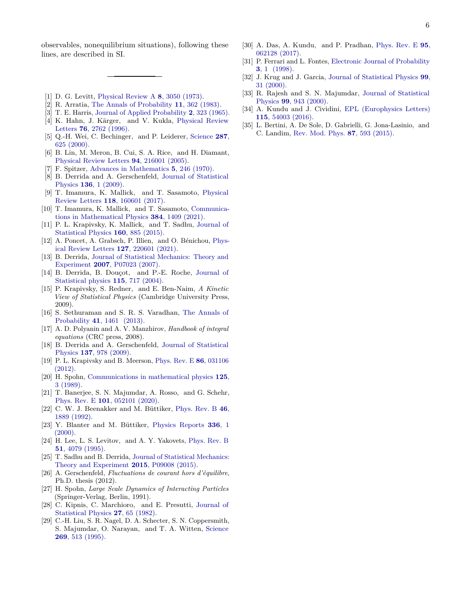observables, nonequilibrium situations), following these lines, are described in SI.

- <span id="page-5-0"></span>[1] D. G. Levitt, [Physical Review A](http://link.aps.org/doi/10.1103/PhysRevA.8.3050) **8**, 3050 (1973).
- <span id="page-5-1"></span>[2] R. Arratia, [The Annals of Probability](http://www.jstor.org/stable/2243693) **11**, 362 (1983).
- <span id="page-5-2"></span>[3] T. E. Harris, [Journal of Applied Probability](http://www.jstor.org/stable/3212197) **2**, 323 (1965).
- <span id="page-5-3"></span>[4] K. Hahn, J. Kärger, and V. Kukla, [Physical Review](http://link.aps.org/doi/10.1103/PhysRevLett.76.2762) Letters **76**[, 2762 \(1996\).](http://link.aps.org/doi/10.1103/PhysRevLett.76.2762)
- [5] Q.-H. Wei, C. Bechinger, and P. Leiderer, [Science](http://dx.doi.org/10.1126/science.287.5453.625) **287**, [625 \(2000\).](http://dx.doi.org/10.1126/science.287.5453.625)
- <span id="page-5-4"></span>[6] B. Lin, M. Meron, B. Cui, S. A. Rice, and H. Diamant, [Physical Review Letters](http://link.aps.org/doi/10.1103/PhysRevLett.94.216001) **94**, 216001 (2005).
- <span id="page-5-5"></span>[7] F. Spitzer, [Advances in Mathematics](http://dx.doi.org/10.1016/0001-8708(70)90034-4) **5**, 246 (1970).
- <span id="page-5-6"></span>[8] B. Derrida and A. Gerschenfeld, [Journal of Statistical](http://dx.doi.org/10.1007/s10955-009-9772-7) Physics **136**[, 1 \(2009\).](http://dx.doi.org/10.1007/s10955-009-9772-7)
- <span id="page-5-7"></span>[9] T. Imamura, K. Mallick, and T. Sasamoto, [Physical](https://link.aps.org/doi/10.1103/PhysRevLett.118.160601) Review Letters **118**[, 160601 \(2017\).](https://link.aps.org/doi/10.1103/PhysRevLett.118.160601)
- <span id="page-5-8"></span>[10] T. Imamura, K. Mallick, and T. Sasamoto, [Communica](http://dx.doi.org/10.1007/s00220-021-03954-x)[tions in Mathematical Physics](http://dx.doi.org/10.1007/s00220-021-03954-x) **384**, 1409 (2021).
- <span id="page-5-9"></span>[11] P. L. Krapivsky, K. Mallick, and T. Sadhu, [Journal of](http://dx.doi.org/10.1007/s10955-015-1291-0) [Statistical Physics](http://dx.doi.org/10.1007/s10955-015-1291-0) **160**, 885 (2015).
- <span id="page-5-10"></span>[12] A. Poncet, A. Grabsch, P. Illien, and O. Bénichou, [Phys](http://dx.doi.org/ 10.1103/PhysRevLett.127.220601)[ical Review Letters](http://dx.doi.org/ 10.1103/PhysRevLett.127.220601) **127**, 220601 (2021).
- <span id="page-5-11"></span>[13] B. Derrida, [Journal of Statistical Mechanics: Theory and](http://dx.doi.org/10.1088/1742-5468/2007/07/p07023) Experiment **2007**[, P07023 \(2007\).](http://dx.doi.org/10.1088/1742-5468/2007/07/p07023)
- <span id="page-5-23"></span>[14] B. Derrida, B. Douçot, and P.-E. Roche, [Journal of](http://dx.doi.org/10.1023/B:JOSS.0000022379.95508.b2) [Statistical physics](http://dx.doi.org/10.1023/B:JOSS.0000022379.95508.b2) **115**, 717 (2004).
- <span id="page-5-12"></span>[15] P. Krapivsky, S. Redner, and E. Ben-Naim, *A Kinetic View of Statistical Physics* (Cambridge University Press, 2009).
- <span id="page-5-13"></span>[16] S. Sethuraman and S. R. S. Varadhan, [The Annals of](http://dx.doi.org/10.1214/11-AOP703) Probability **41**[, 1461 \(2013\).](http://dx.doi.org/10.1214/11-AOP703)
- <span id="page-5-14"></span>[17] A. D. Polyanin and A. V. Manzhirov, *Handbook of integral equations* (CRC press, 2008).
- <span id="page-5-15"></span>[18] B. Derrida and A. Gerschenfeld, [Journal of Statistical](http://dx.doi.org/10.1007/s10955-009-9830-1) Physics **137**[, 978 \(2009\).](http://dx.doi.org/10.1007/s10955-009-9830-1)
- <span id="page-5-16"></span>[19] P. L. Krapivsky and B. Meerson, [Phys. Rev. E](http://dx.doi.org/10.1103/PhysRevE.86.031106) **86**, 031106 [\(2012\).](http://dx.doi.org/10.1103/PhysRevE.86.031106)
- <span id="page-5-17"></span>[20] H. Spohn, [Communications in mathematical physics](http://dx.doi.org/10.1007/BF01217765) **125**, [3 \(1989\).](http://dx.doi.org/10.1007/BF01217765)
- <span id="page-5-18"></span>[21] T. Banerjee, S. N. Majumdar, A. Rosso, and G. Schehr, Phys. Rev. E **101**[, 052101 \(2020\).](http://dx.doi.org/10.1103/PhysRevE.101.052101)
- <span id="page-5-19"></span>[22] C. W. J. Beenakker and M. Büttiker, [Phys. Rev. B](http://dx.doi.org/10.1103/PhysRevB.46.1889) **46**, [1889 \(1992\).](http://dx.doi.org/10.1103/PhysRevB.46.1889)
- [23] Y. Blanter and M. Büttiker, [Physics Reports](http://dx.doi.org/ https://doi.org/10.1016/S0370-1573(99)00123-4) **336**, 1  $(2000).$
- <span id="page-5-20"></span>[24] H. Lee, L. S. Levitov, and A. Y. Yakovets, [Phys. Rev. B](http://dx.doi.org/10.1103/PhysRevB.51.4079) **51**[, 4079 \(1995\).](http://dx.doi.org/10.1103/PhysRevB.51.4079)
- <span id="page-5-21"></span>[25] T. Sadhu and B. Derrida, [Journal of Statistical Mechanics:](http://stacks.iop.org/1742-5468/2015/i=9/a=P09008) [Theory and Experiment](http://stacks.iop.org/1742-5468/2015/i=9/a=P09008) **2015**, P09008 (2015).
- <span id="page-5-22"></span>[26] A. Gerschenfeld, *Fluctuations de courant hors d'équilibre*, Ph.D. thesis (2012).
- <span id="page-5-24"></span>[27] H. Spohn, *Large Scale Dynamics of Interacting Particles* (Springer-Verlag, Berlin, 1991).
- <span id="page-5-25"></span>[28] C. Kipnis, C. Marchioro, and E. Presutti, [Journal of](http://dx.doi.org/10.1007/BF01011740) [Statistical Physics](http://dx.doi.org/10.1007/BF01011740) **27**, 65 (1982).
- <span id="page-5-26"></span>[29] C.-H. Liu, S. R. Nagel, D. A. Schecter, S. N. Coppersmith, S. Majumdar, O. Narayan, and T. A. Witten, [Science](http://dx.doi.org/ 10.1126/science.269.5223.513) **269**[, 513 \(1995\).](http://dx.doi.org/ 10.1126/science.269.5223.513)
- <span id="page-5-27"></span>[30] A. Das, A. Kundu, and P. Pradhan, [Phys. Rev. E](http://dx.doi.org/10.1103/PhysRevE.95.062128) **95**, [062128 \(2017\).](http://dx.doi.org/10.1103/PhysRevE.95.062128)
- <span id="page-5-28"></span>[31] P. Ferrari and L. Fontes, [Electronic Journal of Probability](http://dx.doi.org/10.1214/EJP.v3-28) **3**[, 1 \(1998\).](http://dx.doi.org/10.1214/EJP.v3-28)
- [32] J. Krug and J. Garcia, [Journal of Statistical Physics](http://dx.doi.org/10.1023/A:1018688421856) **99**, [31 \(2000\).](http://dx.doi.org/10.1023/A:1018688421856)
- <span id="page-5-29"></span>[33] R. Rajesh and S. N. Majumdar, [Journal of Statistical](http://dx.doi.org/10.1023/A:1018651714376) Physics **99**[, 943 \(2000\).](http://dx.doi.org/10.1023/A:1018651714376)
- <span id="page-5-30"></span>[34] A. Kundu and J. Cividini, [EPL \(Europhysics Letters\)](http://stacks.iop.org/0295-5075/115/i=5/a=54003) **115**[, 54003 \(2016\).](http://stacks.iop.org/0295-5075/115/i=5/a=54003)
- <span id="page-5-31"></span>[35] L. Bertini, A. De Sole, D. Gabrielli, G. Jona-Lasinio, and C. Landim, [Rev. Mod. Phys.](http://dx.doi.org/ 10.1103/RevModPhys.87.593) **87**, 593 (2015).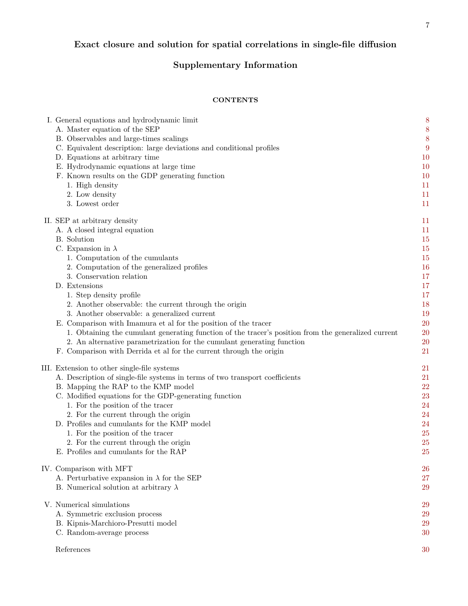# **Exact closure and solution for spatial correlations in single-file diffusion**

# **Supplementary Information**

# **CONTENTS**

|  | I. General equations and hydrodynamic limit                                                         | 8  |
|--|-----------------------------------------------------------------------------------------------------|----|
|  | A. Master equation of the SEP                                                                       | 8  |
|  | B. Observables and large-times scalings                                                             | 8  |
|  | C. Equivalent description: large deviations and conditional profiles                                | 9  |
|  | D. Equations at arbitrary time                                                                      | 10 |
|  | E. Hydrodynamic equations at large time                                                             | 10 |
|  | F. Known results on the GDP generating function                                                     | 10 |
|  | 1. High density                                                                                     | 11 |
|  | 2. Low density                                                                                      | 11 |
|  | 3. Lowest order                                                                                     | 11 |
|  | II. SEP at arbitrary density                                                                        | 11 |
|  | A. A closed integral equation                                                                       | 11 |
|  | B. Solution                                                                                         | 15 |
|  | C. Expansion in $\lambda$                                                                           | 15 |
|  | 1. Computation of the cumulants                                                                     | 15 |
|  | 2. Computation of the generalized profiles                                                          | 16 |
|  | 3. Conservation relation                                                                            | 17 |
|  | D. Extensions                                                                                       | 17 |
|  |                                                                                                     | 17 |
|  | 1. Step density profile                                                                             |    |
|  | 2. Another observable: the current through the origin                                               | 18 |
|  | 3. Another observable: a generalized current                                                        | 19 |
|  | E. Comparison with Imamura et al for the position of the tracer                                     | 20 |
|  | 1. Obtaining the cumulant generating function of the tracer's position from the generalized current | 20 |
|  | 2. An alternative parametrization for the cumulant generating function                              | 20 |
|  | F. Comparison with Derrida et al for the current through the origin                                 | 21 |
|  | III. Extension to other single-file systems                                                         | 21 |
|  | A. Description of single-file systems in terms of two transport coefficients                        | 21 |
|  | B. Mapping the RAP to the KMP model                                                                 | 22 |
|  | C. Modified equations for the GDP-generating function                                               | 23 |
|  | 1. For the position of the tracer                                                                   | 24 |
|  | 2. For the current through the origin                                                               | 24 |
|  | D. Profiles and cumulants for the KMP model                                                         | 24 |
|  | 1. For the position of the tracer                                                                   | 25 |
|  | 2. For the current through the origin                                                               | 25 |
|  | E. Profiles and cumulants for the RAP                                                               | 25 |
|  | IV. Comparison with MFT                                                                             | 26 |
|  | A. Perturbative expansion in $\lambda$ for the SEP                                                  | 27 |
|  |                                                                                                     |    |
|  | B. Numerical solution at arbitrary $\lambda$                                                        | 29 |
|  | V. Numerical simulations                                                                            | 29 |
|  | A. Symmetric exclusion process                                                                      | 29 |
|  | B. Kipnis-Marchioro-Presutti model                                                                  | 29 |
|  | C. Random-average process                                                                           | 30 |
|  | References                                                                                          | 30 |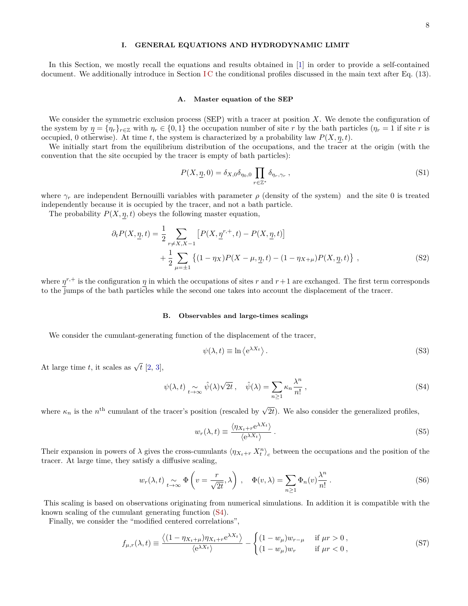# <span id="page-7-0"></span>**I. GENERAL EQUATIONS AND HYDRODYNAMIC LIMIT**

In this Section, we mostly recall the equations and results obtained in [\[1\]](#page-29-2) in order to provide a self-contained document. We additionally introduce in Section [I C](#page-8-0) the conditional profiles discussed in the main text after Eq. (13).

#### <span id="page-7-1"></span>**A. Master equation of the SEP**

We consider the symmetric exclusion process (SEP) with a tracer at position *X*. We denote the configuration of the system by  $\eta = \{\eta_r\}_{r \in \mathbb{Z}}$  with  $\eta_r \in \{0,1\}$  the occupation number of site *r* by the bath particles ( $\eta_r = 1$  if site *r* is occupied, 0 otherwise). At time *t*, the system is characterized by a probability law  $P(X, \eta, t)$ .

We initially start from the equilibrium distribution of the occupations, and the tracer at the origin (with the convention that the site occupied by the tracer is empty of bath particles):

$$
P(X, \underline{\eta}, 0) = \delta_{X,0} \delta_{\eta_0,0} \prod_{r \in \mathbb{Z}^*} \delta_{\eta_r, \gamma_r} , \qquad (S1)
$$

where  $\gamma_r$  are independent Bernouilli variables with parameter  $\rho$  (density of the system) and the site 0 is treated independently because it is occupied by the tracer, and not a bath particle.

The probability  $P(X, \eta, t)$  obeys the following master equation,

$$
\partial_t P(X, \underline{\eta}, t) = \frac{1}{2} \sum_{r \neq X, X-1} \left[ P(X, \underline{\eta}^{r,+}, t) - P(X, \underline{\eta}, t) \right] + \frac{1}{2} \sum_{\mu = \pm 1} \left\{ (1 - \eta_X) P(X - \mu, \underline{\eta}, t) - (1 - \eta_{X+\mu}) P(X, \underline{\eta}, t) \right\},
$$
\n(S2)

where  $\eta^{r,+}$  is the configuration  $\eta$  in which the occupations of sites  $r$  and  $r+1$  are exchanged. The first term corresponds to the jumps of the bath particles while the second one takes into account the displacement of the tracer.

#### <span id="page-7-2"></span>**B. Observables and large-times scalings**

We consider the cumulant-generating function of the displacement of the tracer,

<span id="page-7-5"></span>
$$
\psi(\lambda, t) \equiv \ln \left\langle e^{\lambda X_t} \right\rangle. \tag{S3}
$$

At large time *t*, it scales as  $\sqrt{t}$  [\[2,](#page-29-3) [3\]](#page-29-4),

<span id="page-7-3"></span>
$$
\psi(\lambda, t) \underset{t \to \infty}{\sim} \hat{\psi}(\lambda)\sqrt{2t}, \quad \hat{\psi}(\lambda) = \sum_{n \ge 1} \kappa_n \frac{\lambda^n}{n!}, \tag{S4}
$$

where  $\kappa_n$  is the *n*<sup>th</sup> cumulant of the tracer's position (rescaled by  $\sqrt{2t}$ ). We also consider the generalized profiles,

<span id="page-7-4"></span>
$$
w_r(\lambda, t) \equiv \frac{\langle \eta_{X_t + r} e^{\lambda X_t} \rangle}{\langle e^{\lambda X_t} \rangle} \,. \tag{S5}
$$

Their expansion in powers of  $\lambda$  gives the cross-cumulants  $\langle \eta_{X_t+r} X_t^n \rangle_c$  between the occupations and the position of the tracer. At large time, they satisfy a diffusive scaling,

$$
w_r(\lambda, t) \underset{t \to \infty}{\sim} \Phi\left(v = \frac{r}{\sqrt{2t}}, \lambda\right), \quad \Phi(v, \lambda) = \sum_{n \ge 1} \Phi_n(v) \frac{\lambda^n}{n!}.
$$
 (S6)

This scaling is based on observations originating from numerical simulations. In addition it is compatible with the known scaling of the cumulant generating function [\(S4\)](#page-7-3).

Finally, we consider the "modified centered correlations",

$$
f_{\mu,r}(\lambda,t) \equiv \frac{\langle (1 - \eta_{X_t + \mu}) \eta_{X_t + r} e^{\lambda X_t} \rangle}{\langle e^{\lambda X_t} \rangle} - \begin{cases} (1 - w_{\mu}) w_{r - \mu} & \text{if } \mu r > 0, \\ (1 - w_{\mu}) w_r & \text{if } \mu r < 0, \end{cases}
$$
(S7)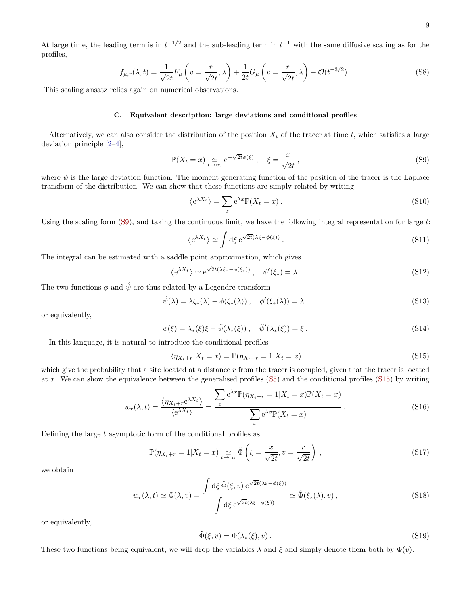At large time, the leading term is in  $t^{-1/2}$  and the sub-leading term in  $t^{-1}$  with the same diffusive scaling as for the profiles,

$$
f_{\mu,r}(\lambda,t) = \frac{1}{\sqrt{2t}} F_{\mu} \left( v = \frac{r}{\sqrt{2t}}, \lambda \right) + \frac{1}{2t} G_{\mu} \left( v = \frac{r}{\sqrt{2t}}, \lambda \right) + \mathcal{O}(t^{-3/2}). \tag{S8}
$$

This scaling ansatz relies again on numerical observations.

## <span id="page-8-0"></span>**C. Equivalent description: large deviations and conditional profiles**

Alternatively, we can also consider the distribution of the position  $X_t$  of the tracer at time  $t$ , which satisfies a large deviation principle [\[2](#page-29-3)[–4\]](#page-29-5),

<span id="page-8-1"></span>
$$
\mathbb{P}(X_t = x) \underset{t \to \infty}{\simeq} e^{-\sqrt{2t}\phi(\xi)}, \quad \xi = \frac{x}{\sqrt{2t}}, \tag{S9}
$$

where  $\psi$  is the large deviation function. The moment generating function of the position of the tracer is the Laplace transform of the distribution. We can show that these functions are simply related by writing

$$
\langle e^{\lambda X_t} \rangle = \sum_x e^{\lambda x} \mathbb{P}(X_t = x) \,. \tag{S10}
$$

Using the scaling form [\(S9\)](#page-8-1), and taking the continuous limit, we have the following integral representation for large *t*:

$$
\langle e^{\lambda X_t} \rangle \simeq \int d\xi \, e^{\sqrt{2t}(\lambda \xi - \phi(\xi))} \,. \tag{S11}
$$

The integral can be estimated with a saddle point approximation, which gives

$$
\langle e^{\lambda X_t} \rangle \simeq e^{\sqrt{2t}(\lambda \xi_* - \phi(\xi_*))}, \quad \phi'(\xi_*) = \lambda.
$$
 (S12)

The two functions  $\phi$  and  $\hat{\psi}$  are thus related by a Legendre transform

$$
\hat{\psi}(\lambda) = \lambda \xi_*(\lambda) - \phi(\xi_*(\lambda)), \quad \phi'(\xi_*(\lambda)) = \lambda,
$$
\n(S13)

or equivalently,

<span id="page-8-3"></span>
$$
\phi(\xi) = \lambda_*(\xi)\xi - \hat{\psi}(\lambda_*(\xi)), \quad \hat{\psi}'(\lambda_*(\xi)) = \xi.
$$
\n(S14)

In this language, it is natural to introduce the conditional profiles

<span id="page-8-2"></span>
$$
\langle \eta_{X_t+r} | X_t = x \rangle = \mathbb{P}(\eta_{X_t+r} = 1 | X_t = x)
$$
\n(S15)

which give the probability that a site located at a distance *r* from the tracer is occupied, given that the tracer is located at *x*. We can show the equivalence between the generalised profiles [\(S5\)](#page-7-4) and the conditional profiles [\(S15\)](#page-8-2) by writing

$$
w_r(\lambda, t) = \frac{\langle \eta_{X_t + r} e^{\lambda X_t} \rangle}{\langle e^{\lambda X_t} \rangle} = \frac{\sum_{x} e^{\lambda x} \mathbb{P}(\eta_{X_t + r} = 1 | X_t = x) \mathbb{P}(X_t = x)}{\sum_{x} e^{\lambda x} \mathbb{P}(X_t = x)}.
$$
\n(S16)

Defining the large *t* asymptotic form of the conditional profiles as

$$
\mathbb{P}(\eta_{X_t+r} = 1 | X_t = x) \underset{t \to \infty}{\sim} \tilde{\Phi}\left(\xi = \frac{x}{\sqrt{2t}}, v = \frac{r}{\sqrt{2t}}\right),\tag{S17}
$$

we obtain

$$
w_r(\lambda, t) \simeq \Phi(\lambda, v) = \frac{\int d\xi \, \tilde{\Phi}(\xi, v) e^{\sqrt{2t}(\lambda \xi - \phi(\xi))}}{\int d\xi e^{\sqrt{2t}(\lambda \xi - \phi(\xi))}} \simeq \tilde{\Phi}(\xi_*(\lambda), v) , \qquad (S18)
$$

or equivalently,

$$
\tilde{\Phi}(\xi, v) = \Phi(\lambda_*(\xi), v). \tag{S19}
$$

These two functions being equivalent, we will drop the variables  $\lambda$  and  $\xi$  and simply denote them both by  $\Phi(v)$ .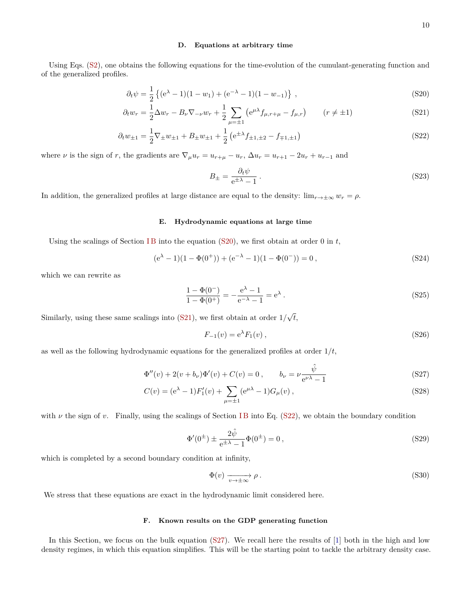### <span id="page-9-0"></span>**D. Equations at arbitrary time**

Using Eqs. [\(S2\)](#page-7-5), one obtains the following equations for the time-evolution of the cumulant-generating function and of the generalized profiles.

$$
\partial_t \psi = \frac{1}{2} \left\{ (e^{\lambda} - 1)(1 - w_1) + (e^{-\lambda} - 1)(1 - w_{-1}) \right\}, \tag{S20}
$$

$$
\partial_t w_r = \frac{1}{2} \Delta w_r - B_\nu \nabla_{-\nu} w_r + \frac{1}{2} \sum_{\mu = \pm 1} \left( e^{\mu \lambda} f_{\mu, r + \mu} - f_{\mu, r} \right) \qquad (r \neq \pm 1)
$$
 (S21)

$$
\partial_t w_{\pm 1} = \frac{1}{2} \nabla_{\pm} w_{\pm 1} + B_{\pm} w_{\pm 1} + \frac{1}{2} \left( e^{\pm \lambda} f_{\pm 1, \pm 2} - f_{\mp 1, \pm 1} \right)
$$
(S22)

where *ν* is the sign of *r*, the gradients are  $\nabla_{\mu} u_r = u_{r+\mu} - u_r$ ,  $\Delta u_r = u_{r+1} - 2u_r + u_{r-1}$  and

<span id="page-9-5"></span><span id="page-9-4"></span><span id="page-9-3"></span>
$$
B_{\pm} = \frac{\partial_t \psi}{e^{\pm \lambda} - 1} \,. \tag{S23}
$$

In addition, the generalized profiles at large distance are equal to the density:  $\lim_{r \to \pm \infty} w_r = \rho$ .

### <span id="page-9-1"></span>**E. Hydrodynamic equations at large time**

Using the scalings of Section [I B](#page-7-2) into the equation  $(S20)$ , we first obtain at order 0 in  $t$ ,

$$
(e\lambda - 1)(1 - \Phi(0+)) + (e-\lambda - 1)(1 - \Phi(0-)) = 0,
$$
\n(S24)

which we can rewrite as

<span id="page-9-7"></span>
$$
\frac{1 - \Phi(0^{-})}{1 - \Phi(0^{+})} = -\frac{e^{\lambda} - 1}{e^{-\lambda} - 1} = e^{\lambda}.
$$
\n(S25)

Similarly, using these same scalings into [\(S21\)](#page-9-4), we first obtain at order 1*/* √ *t*,

<span id="page-9-6"></span>
$$
F_{-1}(v) = e^{\lambda} F_1(v) , \qquad (S26)
$$

as well as the following hydrodynamic equations for the generalized profiles at order 1*/t*,

$$
\Phi''(v) + 2(v + b_{\nu})\Phi'(v) + C(v) = 0, \qquad b_{\nu} = \nu \frac{\hat{\psi}}{e^{\nu\lambda} - 1}
$$
\n(S27)

$$
C(v) = (e^{\lambda} - 1)F'_1(v) + \sum_{\mu = \pm 1} (e^{\mu\lambda} - 1)G_{\mu}(v) ,
$$
 (S28)

with  $\nu$  the sign of  $\nu$ . Finally, using the scalings of Section IB into Eq. [\(S22\)](#page-9-5), we obtain the boundary condition

<span id="page-9-8"></span>
$$
\Phi'(0^{\pm}) \pm \frac{2\hat{\psi}}{e^{\pm \lambda} - 1} \Phi(0^{\pm}) = 0 , \qquad (S29)
$$

which is completed by a second boundary condition at infinity,

<span id="page-9-9"></span>
$$
\Phi(v) \xrightarrow[v \to \pm \infty]{} \rho . \tag{S30}
$$

We stress that these equations are exact in the hydrodynamic limit considered here.

## <span id="page-9-2"></span>**F. Known results on the GDP generating function**

In this Section, we focus on the bulk equation [\(S27\)](#page-9-6). We recall here the results of [\[1\]](#page-29-2) both in the high and low density regimes, in which this equation simplifies. This will be the starting point to tackle the arbitrary density case.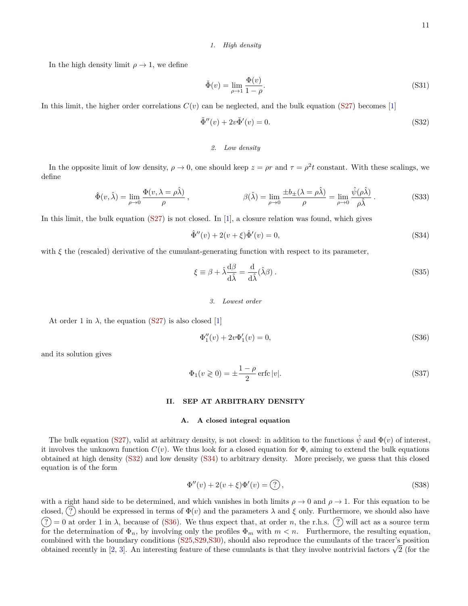## <span id="page-10-0"></span>*1. High density*

In the high density limit  $\rho \rightarrow 1$ , we define

$$
\check{\Phi}(v) = \lim_{\rho \to 1} \frac{\Phi(v)}{1 - \rho}.
$$
\n(S31)

In this limit, the higher order correlations  $C(v)$  can be neglected, and the bulk equation [\(S27\)](#page-9-6) becomes [\[1\]](#page-29-2)

<span id="page-10-5"></span>
$$
\check{\Phi}''(v) + 2v\check{\Phi}'(v) = 0.
$$
\n
$$
(S32)
$$

# <span id="page-10-1"></span>*2. Low density*

In the opposite limit of low density,  $\rho \to 0$ , one should keep  $z = \rho r$  and  $\tau = \rho^2 t$  constant. With these scalings, we define

$$
\hat{\Phi}(v,\hat{\lambda}) = \lim_{\rho \to 0} \frac{\Phi(v,\lambda = \rho \hat{\lambda})}{\rho}, \qquad \beta(\hat{\lambda}) = \lim_{\rho \to 0} \frac{\pm b_{\pm}(\lambda = \rho \hat{\lambda})}{\rho} = \lim_{\rho \to 0} \frac{\hat{\psi}(\rho \hat{\lambda})}{\rho \hat{\lambda}}.
$$
 (S33)

In this limit, the bulk equation  $(S27)$  is not closed. In [\[1\]](#page-29-2), a closure relation was found, which gives

<span id="page-10-6"></span>
$$
\hat{\Phi}''(v) + 2(v + \xi)\hat{\Phi}'(v) = 0,
$$
\n(S34)

with *ξ* the (rescaled) derivative of the cumulant-generating function with respect to its parameter,

$$
\xi \equiv \beta + \hat{\lambda} \frac{\mathrm{d}\beta}{\mathrm{d}\hat{\lambda}} = \frac{\mathrm{d}}{\mathrm{d}\hat{\lambda}} (\hat{\lambda}\beta) \,. \tag{S35}
$$

<span id="page-10-2"></span>*3. Lowest order*

At order 1 in  $\lambda$ , the equation [\(S27\)](#page-9-6) is also closed [\[1\]](#page-29-2)

<span id="page-10-7"></span>
$$
\Phi_1''(v) + 2v\Phi_1'(v) = 0,\t\t(S36)
$$

and its solution gives

<span id="page-10-8"></span>
$$
\Phi_1(v \ge 0) = \pm \frac{1 - \rho}{2} \operatorname{erfc} |v|.
$$
\n
$$
(S37)
$$

#### <span id="page-10-3"></span>**II. SEP AT ARBITRARY DENSITY**

# <span id="page-10-4"></span>**A. A closed integral equation**

The bulk equation [\(S27\)](#page-9-6), valid at arbitrary density, is not closed: in addition to the functions  $\hat{\psi}$  and  $\Phi(v)$  of interest, it involves the unknown function  $C(v)$ . We thus look for a closed equation for  $\Phi$ , aiming to extend the bulk equations obtained at high density [\(S32\)](#page-10-5) and low density [\(S34\)](#page-10-6) to arbitrary density. More precisely, we guess that this closed equation is of the form

<span id="page-10-9"></span>
$$
\Phi''(v) + 2(v + \xi)\Phi'(v) = \hat{?},\tag{S38}
$$

with a right hand side to be determined, and which vanishes in both limits  $\rho \to 0$  and  $\rho \to 1$ . For this equation to be closed, (?) should be expressed in terms of  $\Phi(v)$  and the parameters  $\lambda$  and  $\xi$  only. Furthermore, we should also have  $\widetilde{P}(x) = 0$  at order 1 in  $\lambda$ , because of [\(S36\)](#page-10-7). We thus expect that, at order *n*, the r.h.s.  $\widetilde{P}(x)$  will act as a source term for the determination of  $\Phi_n$ , by involving only the profiles  $\Phi_m$  with  $m < n$ . Furthermore, the resulting equation, combined with the boundary conditions [\(S25,](#page-9-7)[S29,](#page-9-8)[S30\)](#page-9-9), should also reproduce the cumulants of the tracer's position combined with the boundary conditions (525,529,530), should also reproduce the cumulants of the tracer's position<br>obtained recently in [\[2,](#page-29-3) [3\]](#page-29-4). An interesting feature of these cumulants is that they involve nontrivial fact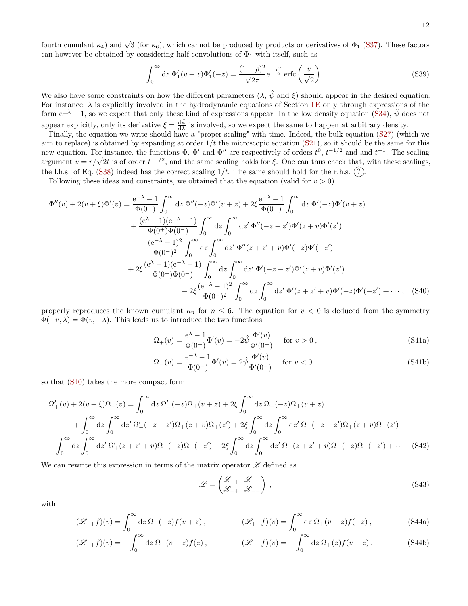$$
\int_0^\infty dz \, \Phi_1'(v+z) \Phi_1'(-z) = \frac{(1-\rho)^2}{\sqrt{2\pi}} e^{-\frac{v^2}{2}} \operatorname{erfc}\left(\frac{v}{\sqrt{2}}\right) \,. \tag{S39}
$$

We also have some constraints on how the different parameters  $(\lambda, \hat{\psi}$  and  $\xi)$  should appear in the desired equation. For instance,  $\lambda$  is explicitly involved in the hydrodynamic equations of Section [I E](#page-9-1) only through expressions of the form  $e^{\pm \lambda} - 1$ , so we expect that only these kind of expressions appear. In the low density equation [\(S34\)](#page-10-6),  $\hat{\psi}$  does not appear explicitly, only its derivative  $\xi = \frac{d\hat{\psi}}{d\lambda}$  is involved, so we expect the same to happen at arbitrary density.

Finally, the equation we write should have a "proper scaling" with time. Indeed, the bulk equation [\(S27\)](#page-9-6) (which we aim to replace) is obtained by expanding at order 1*/t* the microscopic equation [\(S21\)](#page-9-4), so it should be the same for this new equation. For instance, the functions  $\Phi$ ,  $\Phi'$  and  $\Phi''$  are respectively of orders  $t^0$ ,  $t^{-1/2}$  and and  $t^{-1}$ . The scaling new equation. For instance, the functions  $\Phi$ ,  $\Phi$  and  $\Phi$  are respectively of orders *τ*<sup>*ν*</sup>, *τ* <sup>−*γ*</sup> and and *τ* <sup>−</sup>. The scaling argument *v* = *r*/ $\sqrt{2t}$  is of order *t*<sup>−1/2</sup>, and the same scaling holds fo the l.h.s. of Eq. [\(S38\)](#page-10-9) indeed has the correct scaling  $1/t$ . The same should hold for the r.h.s.  $(?)$ .

Following these ideas and constraints, we obtained that the equation (valid for  $v > 0$ )

$$
\Phi''(v) + 2(v + \xi)\Phi'(v) = \frac{e^{-\lambda} - 1}{\Phi(0^{-})} \int_0^{\infty} dz \, \Phi''(-z)\Phi'(v + z) + 2\xi \frac{e^{-\lambda} - 1}{\Phi(0^{-})} \int_0^{\infty} dz \, \Phi'(-z)\Phi'(v + z) \n+ \frac{(e^{\lambda} - 1)(e^{-\lambda} - 1)}{\Phi(0^{+})\Phi(0^{-})} \int_0^{\infty} dz \int_0^{\infty} dz' \, \Phi''(-z - z')\Phi'(z + v)\Phi'(z') \n- \frac{(e^{-\lambda} - 1)^2}{\Phi(0^{-})^2} \int_0^{\infty} dz \int_0^{\infty} dz' \, \Phi''(z + z' + v)\Phi'(-z)\Phi'(-z') \n+ 2\xi \frac{(e^{\lambda} - 1)(e^{-\lambda} - 1)}{\Phi(0^{+})\Phi(0^{-})} \int_0^{\infty} dz \int_0^{\infty} dz' \, \Phi'(-z - z')\Phi'(z + v)\Phi'(z') \n- 2\xi \frac{(e^{-\lambda} - 1)^2}{\Phi(0^{-})^2} \int_0^{\infty} dz \int_0^{\infty} dz' \, \Phi'(z + z' + v)\Phi'(-z)\Phi'(-z') + \cdots, \quad (S40)
$$

properly reproduces the known cumulant  $\kappa_n$  for  $n \leq 6$ . The equation for  $v < 0$  is deduced from the symmetry  $\Phi(-v, \lambda) = \Phi(v, -\lambda)$ . This leads us to introduce the two functions

<span id="page-11-2"></span><span id="page-11-0"></span>
$$
\Omega_{+}(v) = \frac{e^{\lambda} - 1}{\Phi(0^{+})} \Phi'(v) = -2\hat{\psi} \frac{\Phi'(v)}{\Phi'(0^{+})} \quad \text{for } v > 0,
$$
\n(S41a)

$$
\Omega_{-}(v) = \frac{e^{-\lambda} - 1}{\Phi(0^{-})} \Phi'(v) = 2\hat{\psi} \frac{\Phi'(v)}{\Phi'(0^{-})} \quad \text{for } v < 0,
$$
\n(S41b)

so that [\(S40\)](#page-11-0) takes the more compact form

$$
\Omega'_{+}(v) + 2(v + \xi)\Omega_{+}(v) = \int_{0}^{\infty} dz \, \Omega'_{-}(-z)\Omega_{+}(v+z) + 2\xi \int_{0}^{\infty} dz \, \Omega_{-}(-z)\Omega_{+}(v+z) \n+ \int_{0}^{\infty} dz \int_{0}^{\infty} dz' \, \Omega'_{-}(-z-z')\Omega_{+}(z+v)\Omega_{+}(z') + 2\xi \int_{0}^{\infty} dz \int_{0}^{\infty} dz' \, \Omega_{-}(-z-z')\Omega_{+}(z+v)\Omega_{+}(z') \n- \int_{0}^{\infty} dz \int_{0}^{\infty} dz' \, \Omega'_{+}(z+z'+v)\Omega_{-}(-z)\Omega_{-}(-z') - 2\xi \int_{0}^{\infty} dz' \, \Omega_{+}(z+z'+v)\Omega_{-}(-z)\Omega_{-}(-z') + \cdots
$$
\n(S42)

We can rewrite this expression in terms of the matrix operator  $\mathscr L$  defined as

<span id="page-11-1"></span>
$$
\mathcal{L} = \begin{pmatrix} \mathcal{L}_{++} & \mathcal{L}_{+-} \\ \mathcal{L}_{-+} & \mathcal{L}_{--} \end{pmatrix},
$$
\n(S43)

with

$$
(\mathcal{L}_{++}f)(v) = \int_0^\infty dz \, \Omega_-(z) f(v+z) , \qquad (\mathcal{L}_{+-}f)(v) = \int_0^\infty dz \, \Omega_+(v+z) f(-z) , \qquad (S44a)
$$

$$
(\mathcal{L}_{-+}f)(v) = -\int_0^\infty dz \, \Omega_-(v-z)f(z) ,\qquad (\mathcal{L}_{-}f)(v) = -\int_0^\infty dz \, \Omega_+(z)f(v-z) . \tag{S44b}
$$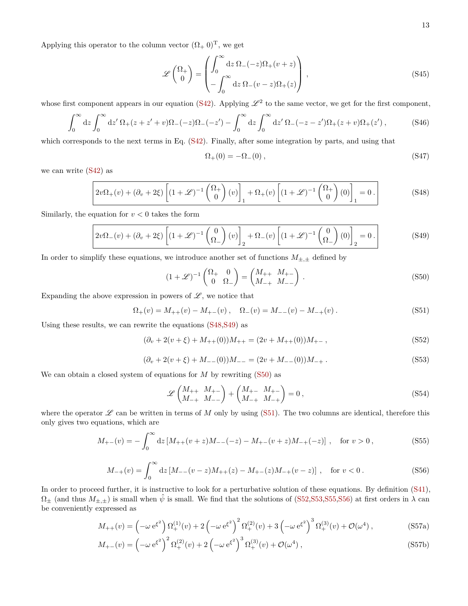Applying this operator to the column vector  $(\Omega_+ 0)^T$ , we get

$$
\mathscr{L}\begin{pmatrix} \Omega_{+} \\ 0 \end{pmatrix} = \begin{pmatrix} \int_{0}^{\infty} dz \ \Omega_{-}(-z)\Omega_{+}(v+z) \\ -\int_{0}^{\infty} dz \ \Omega_{-}(v-z)\Omega_{+}(z) \end{pmatrix},
$$
\n(S45)

whose first component appears in our equation [\(S42\)](#page-11-1). Applying  $\mathscr{L}^2$  to the same vector, we get for the first component,

$$
\int_0^\infty dz \int_0^\infty dz' \Omega_+(z+z'+v)\Omega_-(-z)\Omega_-(-z') - \int_0^\infty dz \int_0^\infty dz' \Omega_-(-z-z')\Omega_+(z+v)\Omega_+(z'),\tag{S46}
$$

which corresponds to the next terms in Eq. [\(S42\)](#page-11-1). Finally, after some integration by parts, and using that

$$
\Omega_{+}(0) = -\Omega_{-}(0) \,, \tag{S47}
$$

we can write [\(S42\)](#page-11-1) as

<span id="page-12-0"></span>
$$
2v\Omega_{+}(v) + (\partial_{v} + 2\xi) \left[ (1+\mathscr{L})^{-1} \begin{pmatrix} \Omega_{+} \\ 0 \end{pmatrix} (v) \right]_{1} + \Omega_{+}(v) \left[ (1+\mathscr{L})^{-1} \begin{pmatrix} \Omega_{+} \\ 0 \end{pmatrix} (0) \right]_{1} = 0.
$$
 (S48)

Similarly, the equation for  $v < 0$  takes the form

<span id="page-12-1"></span>
$$
2v\Omega_{-}(v) + (\partial_{v} + 2\xi) \left[ (1+\mathscr{L})^{-1} \left( \frac{0}{\Omega_{-}} \right)(v) \right]_{2} + \Omega_{-}(v) \left[ (1+\mathscr{L})^{-1} \left( \frac{0}{\Omega_{-}} \right)(0) \right]_{2} = 0.
$$
 (S49)

In order to simplify these equations, we introduce another set of functions  $M_{\pm,\pm}$  defined by

<span id="page-12-2"></span>
$$
(1+\mathscr{L})^{-1}\begin{pmatrix} \Omega_+ & 0\\ 0 & \Omega_- \end{pmatrix} = \begin{pmatrix} M_{++} & M_{+-}\\ M_{-+} & M_{--} \end{pmatrix} . \tag{S50}
$$

Expanding the above expression in powers of  $\mathscr{L}$ , we notice that

<span id="page-12-3"></span>
$$
\Omega_{+}(v) = M_{++}(v) - M_{+-}(v) , \quad \Omega_{-}(v) = M_{--}(v) - M_{-+}(v) . \tag{S51}
$$

Using these results, we can rewrite the equations [\(S48,](#page-12-0)[S49\)](#page-12-1) as

<span id="page-12-4"></span>
$$
(\partial_v + 2(v + \xi) + M_{++}(0))M_{++} = (2v + M_{++}(0))M_{+-},
$$
\n(S52)

<span id="page-12-5"></span>
$$
(\partial_v + 2(v + \xi) + M_{--}(0))M_{--} = (2v + M_{--}(0))M_{-+}.
$$
\n(S53)

We can obtain a closed system of equations for  $M$  by rewriting  $(S50)$  as

$$
\mathscr{L}\begin{pmatrix} M_{++} & M_{+-} \\ M_{-+} & M_{--} \end{pmatrix} + \begin{pmatrix} M_{+-} & M_{+-} \\ M_{-+} & M_{-+} \end{pmatrix} = 0 \,,\tag{S54}
$$

where the operator  $\mathscr L$  can be written in terms of  $M$  only by using [\(S51\)](#page-12-3). The two columns are identical, therefore this only gives two equations, which are

<span id="page-12-6"></span>
$$
M_{+-}(v) = -\int_0^\infty dz \left[ M_{++}(v+z)M_{--}(-z) - M_{+-}(v+z)M_{-+}(-z) \right] , \quad \text{for } v > 0 ,
$$
 (S55)

<span id="page-12-7"></span>
$$
M_{-+}(v) = \int_0^\infty dz \left[ M_{--}(v-z)M_{++}(z) - M_{+-}(z)M_{-+}(v-z) \right] , \quad \text{for } v < 0. \tag{S56}
$$

In order to proceed further, it is instructive to look for a perturbative solution of these equations. By definition [\(S41\)](#page-11-2),  $\Omega_{\pm}$  (and thus  $M_{\pm,\pm}$ ) is small when  $\hat{\psi}$  is small. We find that the solutions of [\(S52,](#page-12-4)[S53,](#page-12-5)[S55,](#page-12-6)[S56\)](#page-12-7) at first orders in  $\lambda$  can be conveniently expressed as

$$
M_{++}(v) = \left(-\omega e^{\xi^2}\right) \Omega^{(1)}_{+}(v) + 2\left(-\omega e^{\xi^2}\right)^2 \Omega^{(2)}_{+}(v) + 3\left(-\omega e^{\xi^2}\right)^3 \Omega^{(3)}_{+}(v) + \mathcal{O}(\omega^4) ,\tag{S57a}
$$

$$
M_{+-}(v) = \left(-\omega e^{\xi^2}\right)^2 \Omega^{(2)}_{+}(v) + 2\left(-\omega e^{\xi^2}\right)^3 \Omega^{(3)}_{+}(v) + \mathcal{O}(\omega^4) , \tag{S57b}
$$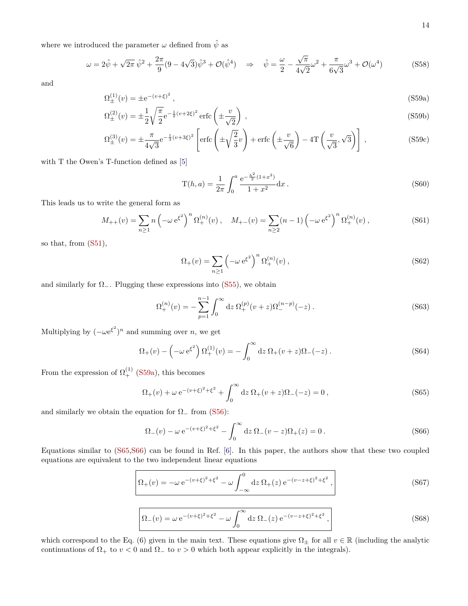where we introduced the parameter  $\omega$  defined from  $\hat{\psi}$  as

<span id="page-13-5"></span>
$$
\omega = 2\hat{\psi} + \sqrt{2\pi} \,\hat{\psi}^2 + \frac{2\pi}{9} (9 - 4\sqrt{3}) \hat{\psi}^3 + \mathcal{O}(\hat{\psi}^4) \quad \Rightarrow \quad \hat{\psi} = \frac{\omega}{2} - \frac{\sqrt{\pi}}{4\sqrt{2}} \omega^2 + \frac{\pi}{6\sqrt{3}} \omega^3 + \mathcal{O}(\omega^4) \tag{S58}
$$

<span id="page-13-7"></span>and

$$
\Omega_{\pm}^{(1)}(v) = \pm e^{-(v+\xi)^2},\tag{S59a}
$$

$$
\Omega_{\pm}^{(2)}(v) = \pm \frac{1}{2} \sqrt{\frac{\pi}{2}} e^{-\frac{1}{2}(v+2\xi)^2} \operatorname{erfc}\left(\pm \frac{v}{\sqrt{2}}\right) ,\qquad (S59b)
$$

$$
\Omega_{\pm}^{(3)}(v) = \pm \frac{\pi}{4\sqrt{3}} e^{-\frac{1}{3}(v+3\xi)^2} \left[ \text{erfc}\left(\pm \sqrt{\frac{2}{3}}v\right) + \text{erfc}\left(\pm \frac{v}{\sqrt{6}}\right) - 4\text{T}\left(\frac{v}{\sqrt{3}}, \sqrt{3}\right) \right],\tag{S59c}
$$

with T the Owen's T-function defined as [\[5\]](#page-29-6)

<span id="page-13-8"></span><span id="page-13-0"></span>
$$
T(h, a) = \frac{1}{2\pi} \int_0^a \frac{e^{-\frac{h^2}{2}(1+x^2)}}{1+x^2} dx.
$$
 (S60)

This leads us to write the general form as

$$
M_{++}(v) = \sum_{n\geq 1} n \left(-\omega e^{\xi^2}\right)^n \Omega_+^{(n)}(v) , \quad M_{+-}(v) = \sum_{n\geq 2} (n-1) \left(-\omega e^{\xi^2}\right)^n \Omega_+^{(n)}(v) , \tag{S61}
$$

so that, from [\(S51\)](#page-12-3),

<span id="page-13-6"></span>
$$
\Omega_{+}(v) = \sum_{n \ge 1} \left( -\omega e^{\xi^2} \right)^n \Omega_{+}^{(n)}(v) , \qquad (S62)
$$

and similarly for  $\Omega$ <sub>−</sub>. Plugging these expressions into [\(S55\)](#page-12-6), we obtain

$$
\Omega_{+}^{(n)}(v) = -\sum_{p=1}^{n-1} \int_{0}^{\infty} dz \ \Omega_{+}^{(p)}(v+z) \Omega_{-}^{(n-p)}(-z) \ . \tag{S63}
$$

Multiplying by  $(-\omega e^{\xi^2})^n$  and summing over *n*, we get

$$
\Omega_{+}(v) - \left(-\omega e^{\xi^{2}}\right) \Omega_{+}^{(1)}(v) = -\int_{0}^{\infty} dz \,\Omega_{+}(v+z)\Omega_{-}(-z) .
$$
 (S64)

From the expression of  $\Omega_{+}^{(1)}$  [\(S59a\)](#page-13-0), this becomes

<span id="page-13-1"></span>
$$
\Omega_{+}(v) + \omega e^{-(v+\xi)^{2}+\xi^{2}} + \int_{0}^{\infty} dz \, \Omega_{+}(v+z)\Omega_{-}(-z) = 0 , \qquad (S65)
$$

and similarly we obtain the equation for  $\Omega_{-}$  from [\(S56\)](#page-12-7):

<span id="page-13-2"></span>
$$
\Omega_{-}(v) - \omega e^{-(v+\xi)^2 + \xi^2} - \int_0^\infty dz \, \Omega_{-}(v-z)\Omega_{+}(z) = 0.
$$
\n(S66)

Equations similar to [\(S65,](#page-13-1)[S66\)](#page-13-2) can be found in Ref. [\[6\]](#page-29-7). In this paper, the authors show that these two coupled equations are equivalent to the two independent linear equations

<span id="page-13-3"></span>
$$
\Omega_{+}(v) = -\omega e^{-(v+\xi)^{2}+\xi^{2}} - \omega \int_{-\infty}^{0} dz \, \Omega_{+}(z) e^{-(v-z+\xi)^{2}+\xi^{2}}, \qquad (S67)
$$

<span id="page-13-4"></span>
$$
\Omega_{-}(v) = \omega e^{-(v+\xi)^2 + \xi^2} - \omega \int_0^{\infty} dz \, \Omega_{-}(z) e^{-(v-z+\xi)^2 + \xi^2}, \qquad (S68)
$$

which correspond to the Eq. (6) given in the main text. These equations give  $\Omega_{\pm}$  for all  $v \in \mathbb{R}$  (including the analytic continuations of  $\Omega_+$  to  $v < 0$  and  $\Omega_-$  to  $v > 0$  which both appear explicitly in the integrals).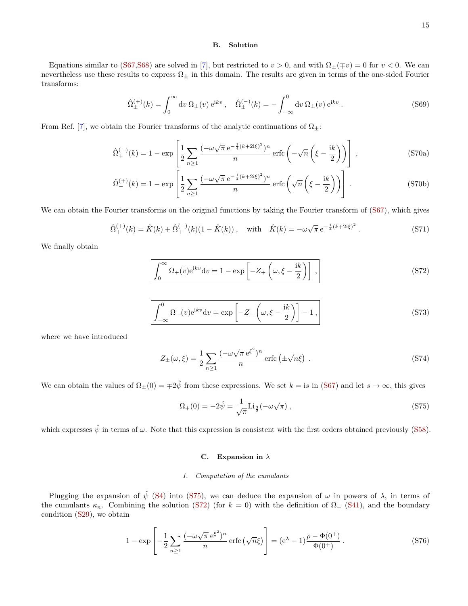## <span id="page-14-0"></span>**B. Solution**

Equations similar to [\(S67,](#page-13-3)[S68\)](#page-13-4) are solved in [\[7\]](#page-29-8), but restricted to  $v > 0$ , and with  $\Omega_{\pm}(\mp v) = 0$  for  $v < 0$ . We can nevertheless use these results to express  $\Omega_{\pm}$  in this domain. The results are given in terms of the one-sided Fourier transforms:

$$
\hat{\Omega}_{\pm}^{(+)}(k) = \int_0^{\infty} dv \,\Omega_{\pm}(v) e^{ikv} , \quad \hat{\Omega}_{\pm}^{(-)}(k) = -\int_{-\infty}^0 dv \,\Omega_{\pm}(v) e^{ikv} . \tag{S69}
$$

From Ref. [\[7\]](#page-29-8), we obtain the Fourier transforms of the analytic continuations of  $\Omega_{+}$ :

$$
\hat{\Omega}_{+}^{(-)}(k) = 1 - \exp\left[\frac{1}{2}\sum_{n\geq 1} \frac{(-\omega\sqrt{\pi}e^{-\frac{1}{4}(k+2i\xi)^{2}})^{n}}{n}\operatorname{erfc}\left(-\sqrt{n}\left(\xi - \frac{\mathrm{i}k}{2}\right)\right)\right],
$$
\n(S70a)

$$
\hat{\Omega}_{-}^{(+)}(k) = 1 - \exp\left[\frac{1}{2}\sum_{n\geq 1} \frac{(-\omega\sqrt{\pi}e^{-\frac{1}{4}(k+2i\xi)^2})^n}{n}\operatorname{erfc}\left(\sqrt{n}\left(\xi - \frac{ik}{2}\right)\right)\right].
$$
\n(S70b)

We can obtain the Fourier transforms on the original functions by taking the Fourier transform of [\(S67\)](#page-13-3), which gives

$$
\hat{\Omega}_{+}^{(+)}(k) = \hat{K}(k) + \hat{\Omega}_{+}^{(-)}(k)(1 - \hat{K}(k)), \quad \text{with} \quad \hat{K}(k) = -\omega\sqrt{\pi} e^{-\frac{1}{4}(k+2i\xi)^2}.
$$
 (S71)

We finally obtain

<span id="page-14-4"></span>
$$
\int_0^\infty \Omega_+(v) e^{ikv} dv = 1 - \exp\left[-Z_+\left(\omega, \xi - \frac{ik}{2}\right)\right],
$$
\n(S72)

<span id="page-14-5"></span>
$$
\int_{-\infty}^{0} \Omega_{-}(v)e^{ikv} dv = \exp\left[-Z_{-}\left(\omega, \xi - \frac{ik}{2}\right)\right] - 1,
$$
\n(S73)

where we have introduced

<span id="page-14-7"></span>
$$
Z_{\pm}(\omega,\xi) = \frac{1}{2} \sum_{n\geq 1} \frac{(-\omega\sqrt{\pi} e^{\xi^2})^n}{n} \operatorname{erfc}\left(\pm\sqrt{n}\xi\right) . \tag{S74}
$$

We can obtain the values of  $\Omega_{\pm}(0) = \pm 2\hat{\psi}$  from these expressions. We set  $k = \text{is in (S67)}$  $k = \text{is in (S67)}$  $k = \text{is in (S67)}$  and let  $s \to \infty$ , this gives

<span id="page-14-3"></span>
$$
\Omega_{+}(0) = -2\hat{\psi} = \frac{1}{\sqrt{\pi}} \text{Li}_{\frac{3}{2}}(-\omega\sqrt{\pi}), \qquad (S75)
$$

which expresses  $\hat{\psi}$  in terms of  $\omega$ . Note that this expression is consistent with the first orders obtained previously [\(S58\)](#page-13-5).

## <span id="page-14-1"></span>**C. Expansion in** *λ*

## <span id="page-14-2"></span>*1. Computation of the cumulants*

Plugging the expansion of  $\hat{\psi}$  [\(S4\)](#page-7-3) into [\(S75\)](#page-14-3), we can deduce the expansion of  $\omega$  in powers of  $\lambda$ , in terms of the cumulants  $\kappa_n$ . Combining the solution [\(S72\)](#page-14-4) (for  $k = 0$ ) with the definition of  $\Omega_+$  [\(S41\)](#page-11-2), and the boundary condition [\(S29\)](#page-9-8), we obtain

<span id="page-14-6"></span>
$$
1 - \exp\left[-\frac{1}{2}\sum_{n\geq 1} \frac{(-\omega\sqrt{\pi}e^{\xi^2})^n}{n}\operatorname{erfc}\left(\sqrt{n}\xi\right)\right] = (e^{\lambda} - 1)\frac{\rho - \Phi(0^+)}{\Phi(0^+)}.
$$
\n(S76)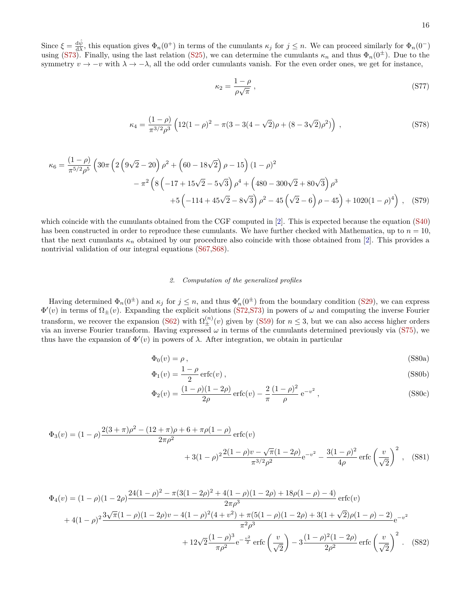Since  $\xi = \frac{d\hat{\psi}}{d\lambda}$ , this equation gives  $\Phi_n(0^+)$  in terms of the cumulants  $\kappa_j$  for  $j \leq n$ . We can proceed similarly for  $\Phi_n(0^-)$ using [\(S73\)](#page-14-5). Finally, using the last relation [\(S25\)](#page-9-7), we can determine the cumulants  $\kappa_n$  and thus  $\Phi_n(0^{\pm})$ . Due to the symmetry  $v \to -v$  with  $\lambda \to -\lambda$ , all the odd order cumulants vanish. For the even order ones, we get for instance,

$$
\kappa_2 = \frac{1 - \rho}{\rho \sqrt{\pi}} \,,\tag{S77}
$$

$$
\kappa_4 = \frac{(1-\rho)}{\pi^{3/2}\rho^3} \left( 12(1-\rho)^2 - \pi(3-3(4-\sqrt{2})\rho + (8-3\sqrt{2})\rho^2) \right) ,\qquad (S78)
$$

$$
\kappa_6 = \frac{(1-\rho)}{\pi^{5/2}\rho^5} \left( 30\pi \left( 2\left( 9\sqrt{2} - 20 \right) \rho^2 + \left( 60 - 18\sqrt{2} \right) \rho - 15 \right) (1-\rho)^2 - \pi^2 \left( 8\left( -17 + 15\sqrt{2} - 5\sqrt{3} \right) \rho^4 + \left( 480 - 300\sqrt{2} + 80\sqrt{3} \right) \rho^3 + 5\left( -114 + 45\sqrt{2} - 8\sqrt{3} \right) \rho^2 - 45\left( \sqrt{2} - 6 \right) \rho - 45 \right) + 1020(1-\rho)^4 \right), \quad (S79)
$$

which coincide with the cumulants obtained from the CGF computed in [\[2\]](#page-29-3). This is expected because the equation [\(S40\)](#page-11-0) has been constructed in order to reproduce these cumulants. We have further checked with Mathematica, up to  $n = 10$ , that the next cumulants  $\kappa_n$  obtained by our procedure also coincide with those obtained from [\[2\]](#page-29-3). This provides a nontrivial validation of our integral equations [\(S67,](#page-13-3)[S68\)](#page-13-4).

## <span id="page-15-0"></span>*2. Computation of the generalized profiles*

Having determined  $\Phi_n(0^{\pm})$  and  $\kappa_j$  for  $j \leq n$ , and thus  $\Phi'_n(0^{\pm})$  from the boundary condition [\(S29\)](#page-9-8), we can express  $\Phi'(v)$  in terms of  $\Omega_{\pm}(v)$ . Expanding the explicit solutions [\(S72](#page-14-4)[,S73\)](#page-14-5) in powers of  $\omega$  and computing the inverse Fourier transform, we recover the expansion [\(S62\)](#page-13-6) with  $\Omega_{\pm}^{(n)}(v)$  given by [\(S59\)](#page-13-7) for  $n \leq 3$ , but we can also access higher orders via an inverse Fourier transform. Having expressed *ω* in terms of the cumulants determined previously via [\(S75\)](#page-14-3), we thus have the expansion of  $\Phi'(v)$  in powers of  $\lambda$ . After integration, we obtain in particular

$$
\Phi_0(v) = \rho \,,\tag{S80a}
$$

$$
\Phi_1(v) = \frac{1 - \rho}{2} \operatorname{erfc}(v) ,\tag{S80b}
$$

$$
\Phi_2(v) = \frac{(1-\rho)(1-2\rho)}{2\rho} \operatorname{erfc}(v) - \frac{2}{\pi} \frac{(1-\rho)^2}{\rho} e^{-v^2},
$$
\n(S80c)

$$
\Phi_3(v) = (1 - \rho) \frac{2(3 + \pi)\rho^2 - (12 + \pi)\rho + 6 + \pi\rho(1 - \rho)}{2\pi\rho^2} \operatorname{erfc}(v) + 3(1 - \rho)^2 \frac{2(1 - \rho)v - \sqrt{\pi}(1 - 2\rho)}{\pi^{3/2}\rho^2} e^{-v^2} - \frac{3(1 - \rho)^2}{4\rho} \operatorname{erfc}\left(\frac{v}{\sqrt{2}}\right)^2, \quad (S81)
$$

$$
\Phi_4(v) = (1 - \rho)(1 - 2\rho)\frac{24(1 - \rho)^2 - \pi(3(1 - 2\rho)^2 + 4(1 - \rho)(1 - 2\rho) + 18\rho(1 - \rho) - 4)}{2\pi\rho^3} \operatorname{erfc}(v)
$$
  
+4(1 - \rho)^2 \frac{3\sqrt{\pi}(1 - \rho)(1 - 2\rho)v - 4(1 - \rho)^2(4 + v^2) + \pi(5(1 - \rho)(1 - 2\rho) + 3(1 + \sqrt{2})\rho(1 - \rho) - 2)}{\pi^2\rho^3} e^{-\frac{v^2}{2}} \operatorname{erfc}\left(\frac{v}{\sqrt{2}}\right) - 3\frac{(1 - \rho)^2(1 - 2\rho)}{2\rho^2} \operatorname{erfc}\left(\frac{v}{\sqrt{2}}\right)^2. (S82)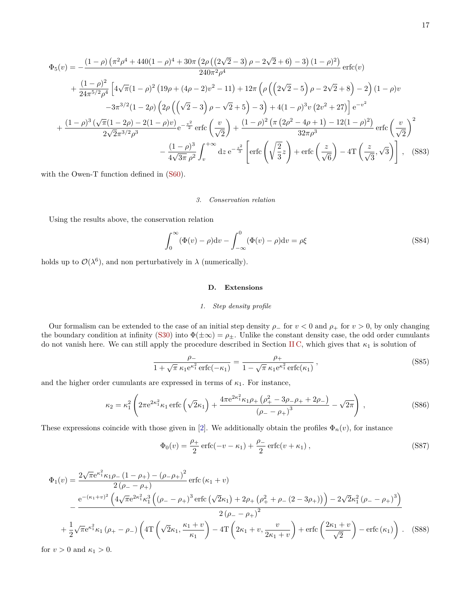$$
\Phi_{5}(v) = -\frac{(1-\rho)\left(\pi^{2}\rho^{4} + 440(1-\rho)^{4} + 30\pi\left(2\rho\left(\left(2\sqrt{2}-3\right)\rho - 2\sqrt{2}+6\right) - 3\right)(1-\rho)^{2}\right)}{240\pi^{2}\rho^{4}} \operatorname{erfc}(v)
$$
\n
$$
+\frac{(1-\rho)^{2}}{24\pi^{5/2}\rho^{4}} \left[4\sqrt{\pi}(1-\rho)^{2}\left(19\rho + (4\rho - 2)v^{2} - 11\right) + 12\pi\left(\rho\left(\left(2\sqrt{2}-5\right)\rho - 2\sqrt{2}+8\right) - 2\right)(1-\rho)v - 3\pi^{3/2}(1-2\rho)\left(2\rho\left(\left(\sqrt{2}-3\right)\rho - \sqrt{2}+5\right) - 3\right) + 4(1-\rho)^{3}v\left(2v^{2}+27\right)\right] e^{-v^{2}}
$$
\n
$$
+\frac{(1-\rho)^{3}\left(\sqrt{\pi}(1-2\rho) - 2(1-\rho)v\right)}{2\sqrt{2}\pi^{3/2}\rho^{3}} e^{-\frac{v^{2}}{2}} \operatorname{erfc}\left(\frac{v}{\sqrt{2}}\right) + \frac{(1-\rho)^{2}\left(\pi\left(2\rho^{2}-4\rho+1\right) - 12(1-\rho)^{2}\right)}{32\pi\rho^{3}} \operatorname{erfc}\left(\frac{v}{\sqrt{2}}\right)^{2}
$$
\n
$$
-\frac{(1-\rho)^{3}}{4\sqrt{3\pi}\rho^{2}} \int_{v}^{+\infty} dz e^{-\frac{z^{2}}{3}} \left[\operatorname{erfc}\left(\sqrt{\frac{2}{3}}z\right) + \operatorname{erfc}\left(\frac{z}{\sqrt{6}}\right) - 4T\left(\frac{z}{\sqrt{3}},\sqrt{3}\right)\right], \quad \text{(S83)}
$$

with the Owen-T function defined in  $(S60)$ .

#### <span id="page-16-0"></span>*3. Conservation relation*

Using the results above, the conservation relation

<span id="page-16-3"></span>
$$
\int_0^\infty (\Phi(v) - \rho) dv - \int_{-\infty}^0 (\Phi(v) - \rho) dv = \rho \xi
$$
 (S84)

holds up to  $\mathcal{O}(\lambda^6)$ , and non perturbatively in  $\lambda$  (numerically).

## <span id="page-16-1"></span>**D. Extensions**

# <span id="page-16-2"></span>*1. Step density profile*

Our formalism can be extended to the case of an initial step density  $\rho_-\$  for  $v < 0$  and  $\rho_+\$  for  $v > 0$ , by only changing the boundary condition at infinity [\(S30\)](#page-9-9) into  $\Phi(\pm \infty) = \rho_{\pm}$ . Unlike the constant density case, the odd order cumulants do not vanish here. We can still apply the procedure described in Section [II C,](#page-14-1) which gives that *κ*<sup>1</sup> is solution of

$$
\frac{\rho_-}{1 + \sqrt{\pi} \kappa_1 e^{\kappa_1^2} \operatorname{erfc}(-\kappa_1)} = \frac{\rho_+}{1 - \sqrt{\pi} \kappa_1 e^{\kappa_1^2} \operatorname{erfc}(\kappa_1)},
$$
\n(S85)

and the higher order cumulants are expressed in terms of  $\kappa_1$ . For instance,

$$
\kappa_2 = \kappa_1^2 \left( 2\pi e^{2\kappa_1^2} \kappa_1 \operatorname{erfc} \left( \sqrt{2}\kappa_1 \right) + \frac{4\pi e^{2\kappa_1^2} \kappa_1 \rho_+ \left( \rho_+^2 - 3\rho_- \rho_+ + 2\rho_- \right)}{\left( \rho_- - \rho_+ \right)^3} - \sqrt{2\pi} \right) ,\tag{S86}
$$

These expressions coincide with those given in [\[2\]](#page-29-3). We additionally obtain the profiles  $\Phi_n(v)$ , for instance

$$
\Phi_0(v) = \frac{\rho_+}{2} \operatorname{erfc}(-v - \kappa_1) + \frac{\rho_-}{2} \operatorname{erfc}(v + \kappa_1) ,\tag{S87}
$$

$$
\Phi_{1}(v) = \frac{2\sqrt{\pi}e^{\kappa_{1}^{2}}\kappa_{1}\rho_{-}(1-\rho_{+}) - (\rho_{-}\rho_{+})^{2}}{2(\rho_{-}-\rho_{+})}\operatorname{erfc}(\kappa_{1}+v)
$$
\n
$$
-\frac{e^{-(\kappa_{1}+v)^{2}}\left(4\sqrt{\pi}e^{2\kappa_{1}^{2}}\kappa_{1}^{3}\left((\rho_{-}-\rho_{+})^{3}\operatorname{erfc}\left(\sqrt{2}\kappa_{1}\right)+2\rho_{+}\left(\rho_{+}^{2}+\rho_{-}(2-3\rho_{+})\right)\right)-2\sqrt{2}\kappa_{1}^{2}\left(\rho_{-}-\rho_{+}\right)^{3}\right)}{2(\rho_{-}-\rho_{+})^{2}}
$$
\n
$$
+\frac{1}{2}\sqrt{\pi}e^{\kappa_{1}^{2}}\kappa_{1}\left(\rho_{+}-\rho_{-}\right)\left(4\Gamma\left(\sqrt{2}\kappa_{1},\frac{\kappa_{1}+v}{\kappa_{1}}\right)-4\Gamma\left(2\kappa_{1}+v,\frac{v}{2\kappa_{1}+v}\right)+\operatorname{erfc}\left(\frac{2\kappa_{1}+v}{\sqrt{2}}\right)-\operatorname{erfc}(\kappa_{1})\right). \quad (S88)
$$

for  $v > 0$  and  $\kappa_1 > 0$ .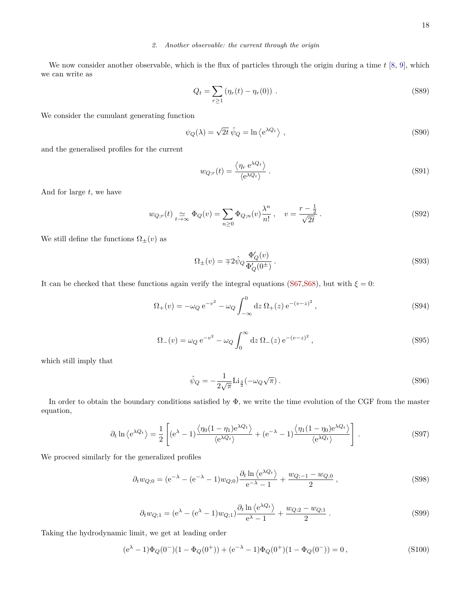# <span id="page-17-0"></span>*2. Another observable: the current through the origin*

We now consider another observable, which is the flux of particles through the origin during a time *t* [\[8,](#page-29-9) [9\]](#page-29-10), which we can write as

$$
Q_t = \sum_{r \ge 1} (\eta_r(t) - \eta_r(0)) .
$$
 (S89)

We consider the cumulant generating function

$$
\psi_Q(\lambda) = \sqrt{2t} \,\hat{\psi}_Q = \ln \langle e^{\lambda Q_t} \rangle \tag{S90}
$$

and the generalised profiles for the current

$$
w_{Q;r}(t) = \frac{\langle \eta_r e^{\lambda Q_t} \rangle}{\langle e^{\lambda Q_t} \rangle}.
$$
\n(S91)

And for large *t*, we have

$$
w_{Q;r}(t) \underset{t \to \infty}{\simeq} \Phi_Q(v) = \sum_{n \geq 0} \Phi_{Q;n}(v) \frac{\lambda^n}{n!}, \quad v = \frac{r - \frac{1}{2}}{\sqrt{2t}}.
$$
 (S92)

We still define the functions  $\Omega_{\pm}(v)$  as

<span id="page-17-4"></span>
$$
\Omega_{\pm}(v) = \mp 2\hat{\psi}_Q \frac{\Phi'_Q(v)}{\Phi'_Q(0^{\pm})}.
$$
\n(S93)

It can be checked that these functions again verify the integral equations [\(S67,](#page-13-3)[S68\)](#page-13-4), but with  $\xi = 0$ :

<span id="page-17-1"></span>
$$
\Omega_{+}(v) = -\omega_{Q} e^{-v^{2}} - \omega_{Q} \int_{-\infty}^{0} dz \, \Omega_{+}(z) e^{-(v-z)^{2}}, \qquad (S94)
$$

<span id="page-17-2"></span>
$$
\Omega_{-}(v) = \omega_Q e^{-v^2} - \omega_Q \int_0^{\infty} dz \, \Omega_{-}(z) e^{-(v-z)^2}, \qquad (S95)
$$

which still imply that

<span id="page-17-3"></span>
$$
\hat{\psi}_Q = -\frac{1}{2\sqrt{\pi}} \text{Li}_{\frac{3}{2}}(-\omega_Q \sqrt{\pi}).\tag{S96}
$$

In order to obtain the boundary conditions satisfied by  $\Phi$ , we write the time evolution of the CGF from the master equation,

$$
\partial_t \ln \left\langle e^{\lambda Q_t} \right\rangle = \frac{1}{2} \left[ \left( e^{\lambda} - 1 \right) \frac{\left\langle \eta_0 (1 - \eta_1) e^{\lambda Q_t} \right\rangle}{\left\langle e^{\lambda Q_t} \right\rangle} + \left( e^{-\lambda} - 1 \right) \frac{\left\langle \eta_1 (1 - \eta_0) e^{\lambda Q_t} \right\rangle}{\left\langle e^{\lambda Q_t} \right\rangle} \right]. \tag{S97}
$$

We proceed similarly for the generalized profiles

$$
\partial_t w_{Q;0} = (e^{-\lambda} - (e^{-\lambda} - 1)w_{Q;0}) \frac{\partial_t \ln \langle e^{\lambda Q_t} \rangle}{e^{-\lambda} - 1} + \frac{w_{Q;-1} - w_{Q;0}}{2} ,
$$
\n(S98)

$$
\partial_t w_{Q;1} = (e^{\lambda} - (e^{\lambda} - 1)w_{Q;1}) \frac{\partial_t \ln \langle e^{\lambda Q_t} \rangle}{e^{\lambda} - 1} + \frac{w_{Q;2} - w_{Q;1}}{2}.
$$
 (S99)

Taking the hydrodynamic limit, we get at leading order

$$
(e\lambda - 1)\Phi_Q(0^-)(1 - \Phi_Q(0^+)) + (e-\lambda - 1)\Phi_Q(0^+)(1 - \Phi_Q(0^-)) = 0,
$$
\n(S100)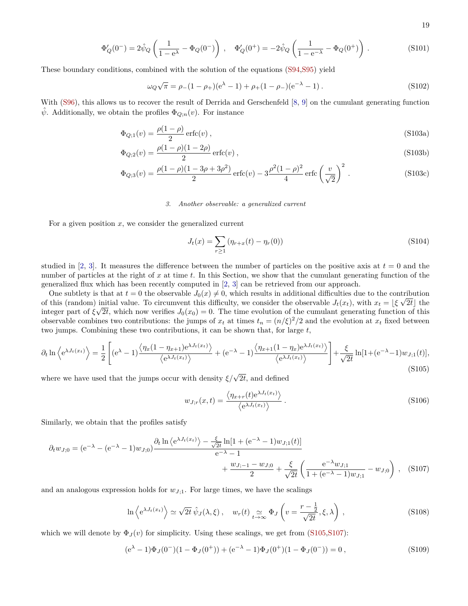19

$$
\Phi'_{Q}(0^{-}) = 2\hat{\psi}_{Q}\left(\frac{1}{1 - e^{\lambda}} - \Phi_{Q}(0^{-})\right), \quad \Phi'_{Q}(0^{+}) = -2\hat{\psi}_{Q}\left(\frac{1}{1 - e^{-\lambda}} - \Phi_{Q}(0^{+})\right). \tag{S101}
$$

These boundary conditions, combined with the solution of the equations [\(S94,](#page-17-1)[S95\)](#page-17-2) yield

<span id="page-18-4"></span>
$$
\omega_Q \sqrt{\pi} = \rho_-(1 - \rho_+)(e^{\lambda} - 1) + \rho_+(1 - \rho_-)(e^{-\lambda} - 1) \,. \tag{S102}
$$

With [\(S96\)](#page-17-3), this allows us to recover the result of Derrida and Gerschenfeld [\[8,](#page-29-9) [9\]](#page-29-10) on the cumulant generating function  $\hat{\psi}$ . Additionally, we obtain the profiles  $\Phi_{Q;n}(v)$ . For instance

$$
\Phi_{Q,1}(v) = \frac{\rho(1-\rho)}{2} \operatorname{erfc}(v) ,\tag{S103a}
$$

$$
\Phi_{Q;2}(v) = \frac{\rho(1-\rho)(1-2\rho)}{2} \operatorname{erfc}(v) ,\qquad (S103b)
$$

$$
\Phi_{Q;3}(v) = \frac{\rho(1-\rho)(1-3\rho+3\rho^2)}{2} \operatorname{erfc}(v) - 3\frac{\rho^2(1-\rho)^2}{4} \operatorname{erfc}\left(\frac{v}{\sqrt{2}}\right)^2.
$$
\n(S103c)

#### <span id="page-18-0"></span>*3. Another observable: a generalized current*

For a given position *x*, we consider the generalized current

<span id="page-18-3"></span>
$$
J_t(x) = \sum_{r \ge 1} (\eta_{r+x}(t) - \eta_r(0))
$$
\n(S104)

studied in [\[2,](#page-29-3) [3\]](#page-29-4). It measures the difference between the number of particles on the positive axis at  $t = 0$  and the number of particles at the right of *x* at time *t*. In this Section, we show that the cumulant generating function of the generalized flux which has been recently computed in [\[2,](#page-29-3) [3\]](#page-29-4) can be retrieved from our approach.

One subtlety is that at  $t = 0$  the observable  $J_0(x) \neq 0$ , which results in additional difficulties due to the contribution of this (random) initial value. To circumvent this difficulty, we consider the observable  $J_t(x_t)$ , with  $x_t = \lfloor \xi \sqrt{2t} \rfloor$  the integer part of  $\xi \sqrt{2t}$ , which now verifies  $J_0(x_0) = 0$ . The time evolution of the cumulant generating function of this observable combines two contributions: the jumps of  $x_t$  at times  $t_n = (n/\xi)^2/2$  and the evolution at  $x_t$  fixed between two jumps. Combining these two contributions, it can be shown that, for large *t*,

<span id="page-18-1"></span>
$$
\partial_t \ln \left\langle e^{\lambda J_t(x_t)} \right\rangle = \frac{1}{2} \left[ (e^{\lambda} - 1) \frac{\left\langle \eta_x (1 - \eta_{x+1}) e^{\lambda J_t(x_t)} \right\rangle}{\left\langle e^{\lambda J_t(x_t)} \right\rangle} + (e^{-\lambda} - 1) \frac{\left\langle \eta_{x+1} (1 - \eta_x) e^{\lambda J_t(x_t)} \right\rangle}{\left\langle e^{\lambda J_t(x_t)} \right\rangle} \right] + \frac{\xi}{\sqrt{2t}} \ln[1 + (e^{-\lambda} - 1) w_{J,1}(t)],
$$
\n(S105)

where we have used that the jumps occur with density  $\xi/\sqrt{2t}$ , and defined

<span id="page-18-2"></span>
$$
w_{J;r}(x,t) = \frac{\langle \eta_{x+r}(t) e^{\lambda J_t(x_t)} \rangle}{\langle e^{\lambda J_t(x_t)} \rangle}.
$$
\n(S106)

Similarly, we obtain that the profiles satisfy

$$
\partial_t w_{J;0} = (e^{-\lambda} - (e^{-\lambda} - 1)w_{J;0}) \frac{\partial_t \ln \langle e^{\lambda J_t(x_t)} \rangle - \frac{\xi}{\sqrt{2t}} \ln[1 + (e^{-\lambda} - 1)w_{J;1}(t)]}{e^{-\lambda} - 1} + \frac{w_{J;-1} - w_{J;0}}{2} + \frac{\xi}{\sqrt{2t}} \left( \frac{e^{-\lambda} w_{J;1}}{1 + (e^{-\lambda} - 1)w_{J;1}} - w_{J;0} \right), \quad (S107)
$$

and an analogous expression holds for  $w_{J,1}$ . For large times, we have the scalings

$$
\ln \left\langle e^{\lambda J_t(x_t)} \right\rangle \simeq \sqrt{2t} \,\hat{\psi}_J(\lambda,\xi) \,, \quad w_r(t) \underset{t \to \infty}{\simeq} \Phi_J \left( v = \frac{r - \frac{1}{2}}{\sqrt{2t}}, \xi, \lambda \right) \,, \tag{S108}
$$

which we will denote by  $\Phi_J(v)$  for simplicity. Using these scalings, we get from [\(S105](#page-18-1)[,S107\)](#page-18-2):

$$
(e^{\lambda} - 1)\Phi_J(0^-)(1 - \Phi_J(0^+)) + (e^{-\lambda} - 1)\Phi_J(0^+)(1 - \Phi_J(0^-)) = 0,
$$
\n(S109)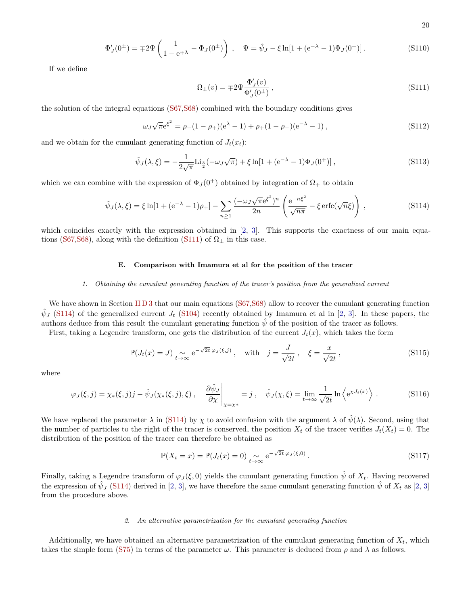20

$$
\Phi'_J(0^{\pm}) = \mp 2\Psi \left( \frac{1}{1 - e^{\mp \lambda}} - \Phi_J(0^{\pm}) \right) , \quad \Psi = \hat{\psi}_J - \xi \ln[1 + (e^{-\lambda} - 1)\Phi_J(0^+) ] . \tag{S110}
$$

If we define

<span id="page-19-3"></span>
$$
\Omega_{\pm}(v) = \mp 2\Psi \frac{\Phi_{J}'(v)}{\Phi_{J}'(0^{\pm})},\tag{S111}
$$

the solution of the integral equations [\(S67,](#page-13-3)[S68\)](#page-13-4) combined with the boundary conditions gives

$$
\omega_J \sqrt{\pi} e^{\xi^2} = \rho_-(1 - \rho_+)(e^{\lambda} - 1) + \rho_+(1 - \rho_-)(e^{-\lambda} - 1), \qquad (S112)
$$

and we obtain for the cumulant generating function of  $J_t(x_t)$ :

$$
\hat{\psi}_J(\lambda,\xi) = -\frac{1}{2\sqrt{\pi}} \text{Li}_{\frac{3}{2}}(-\omega_J\sqrt{\pi}) + \xi \ln[1 + (\mathrm{e}^{-\lambda} - 1)\Phi_J(0^+)]\,,\tag{S113}
$$

which we can combine with the expression of  $\Phi_J(0^+)$  obtained by integration of  $\Omega_+$  to obtain

<span id="page-19-4"></span>
$$
\hat{\psi}_J(\lambda,\xi) = \xi \ln[1 + (\mathrm{e}^{-\lambda} - 1)\rho_+] - \sum_{n \ge 1} \frac{(-\omega_J \sqrt{\pi} \mathrm{e}^{\xi^2})^n}{2n} \left(\frac{\mathrm{e}^{-n\xi^2}}{\sqrt{n\pi}} - \xi \mathrm{erfc}(\sqrt{n}\xi)\right),\tag{S114}
$$

which coincides exactly with the expression obtained in [\[2,](#page-29-3) [3\]](#page-29-4). This supports the exactness of our main equa-tions [\(S67,](#page-13-3) [S68\)](#page-13-4), along with the definition [\(S111\)](#page-19-3) of  $\Omega_{\pm}$  in this case.

# <span id="page-19-0"></span>**E. Comparison with Imamura et al for the position of the tracer**

#### <span id="page-19-1"></span>*1. Obtaining the cumulant generating function of the tracer's position from the generalized current*

We have shown in Section [II D 3](#page-18-0) that our main equations ( $S67, S68$ ) allow to recover the cumulant generating function  $\hat{\psi}_J$  [\(S114\)](#page-19-4) of the generalized current *J<sub>t</sub>* [\(S104\)](#page-18-3) recently obtained by Imamura et al in [\[2,](#page-29-3) [3\]](#page-29-4). In these papers, the authors deduce from this result the cumulant generating function  $\hat{\psi}$  of the position of the tracer as follows.

First, taking a Legendre transform, one gets the distribution of the current  $J_t(x)$ , which takes the form

$$
\mathbb{P}(J_t(x) = J) \underset{t \to \infty}{\sim} e^{-\sqrt{2t} \varphi_J(\xi, j)}, \quad \text{with} \quad j = \frac{J}{\sqrt{2t}}, \quad \xi = \frac{x}{\sqrt{2t}}, \tag{S115}
$$

where

$$
\varphi_J(\xi, j) = \chi_*(\xi, j)j - \hat{\psi}_J(\chi_*(\xi, j), \xi) , \quad \frac{\partial \hat{\psi}_J}{\partial \chi} \bigg|_{\chi = \chi^*} = j , \quad \hat{\psi}_J(\chi, \xi) = \lim_{t \to \infty} \frac{1}{\sqrt{2t}} \ln \left\langle e^{\chi J_t(x)} \right\rangle . \tag{S116}
$$

We have replaced the parameter  $\lambda$  in [\(S114\)](#page-19-4) by  $\chi$  to avoid confusion with the argument  $\lambda$  of  $\hat{\psi}(\lambda)$ . Second, using that the number of particles to the right of the tracer is conserved, the position  $X_t$  of the tracer verifies  $J_t(X_t) = 0$ . The distribution of the position of the tracer can therefore be obtained as

$$
\mathbb{P}(X_t = x) = \mathbb{P}(J_t(x) = 0) \underset{t \to \infty}{\sim} e^{-\sqrt{2t} \varphi_J(\xi, 0)}.
$$
\n(S117)

Finally, taking a Legendre transform of  $\varphi_J(\xi,0)$  yields the cumulant generating function  $\hat{\psi}$  of  $X_t$ . Having recovered the expression of  $\hat{\psi}_J$  [\(S114\)](#page-19-4) derived in [\[2,](#page-29-3) [3\]](#page-29-4), we have therefore the same cumulant generating function  $\hat{\psi}$  of  $X_t$  as [2, 3] from the procedure above.

#### <span id="page-19-2"></span>*2. An alternative parametrization for the cumulant generating function*

Additionally, we have obtained an alternative parametrization of the cumulant generating function of  $X_t$ , which takes the simple form [\(S75\)](#page-14-3) in terms of the parameter  $\omega$ . This parameter is deduced from  $\rho$  and  $\lambda$  as follows.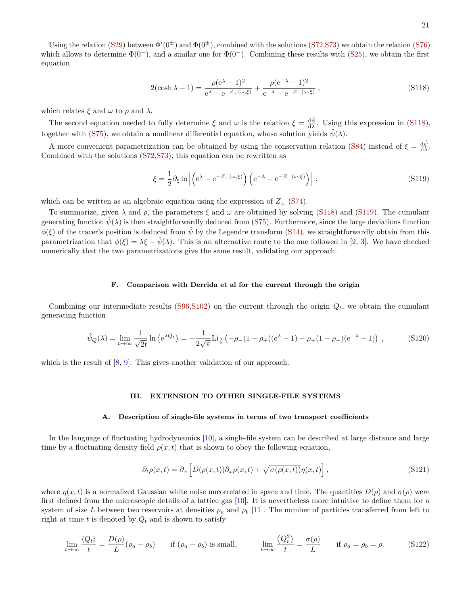Using the relation [\(S29\)](#page-9-8) between  $\Phi'(0^{\pm})$  and  $\Phi(0^{\pm})$ , combined with the solutions [\(S72,](#page-14-4) [S73\)](#page-14-5) we obtain the relation [\(S76\)](#page-14-6) which allows to determine  $\Phi(0^+)$ , and a similar one for  $\Phi(0^-)$ . Combining these results with [\(S25\)](#page-9-7), we obtain the first equation

<span id="page-20-3"></span>
$$
2(\cosh \lambda - 1) = \frac{\rho(e^{\lambda} - 1)^2}{e^{\lambda} - e^{-Z_+(\omega, \xi)}} + \frac{\rho(e^{-\lambda} - 1)^2}{e^{-\lambda} - e^{-Z_-(\omega, \xi)}},
$$
\n(S118)

which relates  $\xi$  and  $\omega$  to  $\rho$  and  $\lambda$ .

The second equation needed to fully determine  $\xi$  and  $\omega$  is the relation  $\xi = \frac{d\hat{\psi}}{d\lambda}$ . Using this expression in [\(S118\)](#page-20-3), together with [\(S75\)](#page-14-3), we obtain a nonlinear differential equation, whose solution yields  $\hat{\psi}(\lambda)$ .

A more convenient parametrization can be obtained by using the conservation relation [\(S84\)](#page-16-3) instead of  $\xi = \frac{d\hat{\psi}}{d\lambda}$ . Combined with the solutions [\(S72,](#page-14-4)[S73\)](#page-14-5), this equation can be rewritten as

<span id="page-20-4"></span>
$$
\xi = \frac{1}{2}\partial_{\xi} \ln \left| \left( e^{\lambda} - e^{-Z_{+}(\omega,\xi)} \right) \left( e^{-\lambda} - e^{-Z_{-}(\omega,\xi)} \right) \right| , \qquad (S119)
$$

which can be written as an algebraic equation using the expression of  $Z_{\pm}$  [\(S74\)](#page-14-7).

To summarize, given  $\lambda$  and  $\rho$ , the parameters  $\xi$  and  $\omega$  are obtained by solving [\(S118\)](#page-20-3) and [\(S119\)](#page-20-4). The cumulant generating function  $\hat{\psi}(\lambda)$  is then straightforwardly deduced from [\(S75\)](#page-14-3). Furthermore, since the large deviations function  $\phi(\xi)$  of the tracer's position is deduced from  $\hat{\psi}$  by the Legendre transform [\(S14\)](#page-8-3), we straightforwardly obtain from this parametrization that  $\phi(\xi) = \lambda \xi - \hat{\psi}(\lambda)$ . This is an alternative route to the one followed in [\[2,](#page-29-3) [3\]](#page-29-4). We have checked numerically that the two parametrizations give the same result, validating our approach.

## <span id="page-20-0"></span>**F. Comparison with Derrida et al for the current through the origin**

Combining our intermediate results [\(S96,](#page-17-3)[S102\)](#page-18-4) on the current through the origin *Qt*, we obtain the cumulant generating function

$$
\hat{\psi}_Q(\lambda) = \lim_{t \to \infty} \frac{1}{\sqrt{2t}} \ln \left\langle e^{\lambda Q_t} \right\rangle = -\frac{1}{2\sqrt{\pi}} \text{Li}_{\frac{3}{2}} \left( -\rho_-(1-\rho_+)(e^{\lambda}-1) - \rho_+(1-\rho_-)(e^{-\lambda}-1) \right) ,\tag{S120}
$$

which is the result of  $[8, 9]$  $[8, 9]$  $[8, 9]$ . This gives another validation of our approach.

# <span id="page-20-1"></span>**III. EXTENSION TO OTHER SINGLE-FILE SYSTEMS**

## <span id="page-20-2"></span>**A. Description of single-file systems in terms of two transport coefficients**

In the language of fluctuating hydrodynamics [\[10\]](#page-29-11), a single-file system can be described at large distance and large time by a fluctuating density field  $\rho(x, t)$  that is shown to obey the following equation,

$$
\partial_t \rho(x,t) = \partial_x \left[ D(\rho(x,t)) \partial_x \rho(x,t) + \sqrt{\sigma(\rho(x,t))} \eta(x,t) \right], \tag{S121}
$$

where  $\eta(x, t)$  is a normalized Gaussian white noise uncorrelated in space and time. The quantities  $D(\rho)$  and  $\sigma(\rho)$  were first defined from the microscopic details of a lattice gas [\[10\]](#page-29-11). It is nevertheless more intuitive to define them for a system of size L between two reservoirs at densities  $\rho_a$  and  $\rho_b$  [\[11\]](#page-29-12). The number of particles transferred from left to right at time  $t$  is denoted by  $Q_t$  and is shown to satisfy

$$
\lim_{t \to \infty} \frac{\langle Q_t \rangle}{t} = \frac{D(\rho)}{L} (\rho_a - \rho_b) \quad \text{if } (\rho_a - \rho_b) \text{ is small,} \quad \lim_{t \to \infty} \frac{\langle Q_t^2 \rangle}{t} = \frac{\sigma(\rho)}{L} \quad \text{if } \rho_a = \rho_b = \rho. \quad (S122)
$$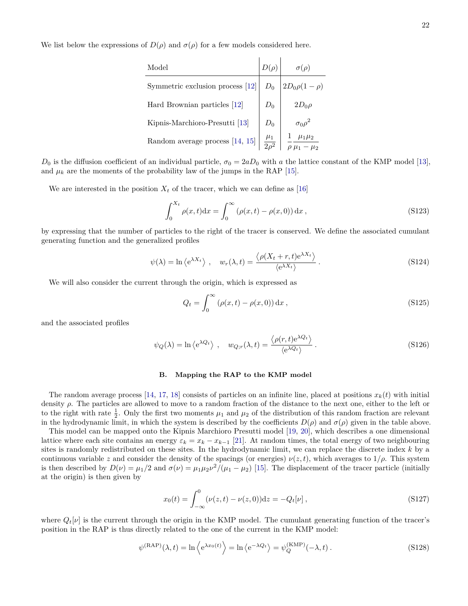We list below the expressions of  $D(\rho)$  and  $\sigma(\rho)$  for a few models considered here.

| Model                             |             |                    |
|-----------------------------------|-------------|--------------------|
| Symmetric exclusion process [12]  |             | $2D_0\rho(1-\rho)$ |
| Hard Brownian particles [12]      | $D_{\rm 0}$ | $2D_0\rho$         |
| Kipnis-Marchioro-Presutti [13]    |             | $\sigma_0 \rho^2$  |
| Random average process $[14, 15]$ |             |                    |

 $D_0$  is the diffusion coefficient of an individual particle,  $\sigma_0 = 2aD_0$  with *a* the lattice constant of the KMP model [\[13\]](#page-29-14), and  $\mu_k$  are the moments of the probability law of the jumps in the RAP [\[15\]](#page-29-16).

We are interested in the position  $X_t$  of the tracer, which we can define as [\[16\]](#page-29-17)

<span id="page-21-5"></span>
$$
\int_0^{X_t} \rho(x, t) dx = \int_0^{\infty} (\rho(x, t) - \rho(x, 0)) dx,
$$
\n(S123)

by expressing that the number of particles to the right of the tracer is conserved. We define the associated cumulant generating function and the generalized profiles

<span id="page-21-1"></span>
$$
\psi(\lambda) = \ln \left\langle e^{\lambda X_t} \right\rangle, \quad w_r(\lambda, t) = \frac{\left\langle \rho(X_t + r, t) e^{\lambda X_t} \right\rangle}{\left\langle e^{\lambda X_t} \right\rangle}.
$$
\n(S124)

We will also consider the current through the origin, which is expressed as

<span id="page-21-3"></span>
$$
Q_t = \int_0^\infty \left(\rho(x, t) - \rho(x, 0)\right) \mathrm{d}x \,,\tag{S125}
$$

and the associated profiles

<span id="page-21-2"></span>
$$
\psi_Q(\lambda) = \ln \left\langle e^{\lambda Q_t} \right\rangle, \quad w_{Q,r}(\lambda, t) = \frac{\left\langle \rho(r, t) e^{\lambda Q_t} \right\rangle}{\left\langle e^{\lambda Q_t} \right\rangle}.
$$
\n(S126)

## <span id="page-21-0"></span>**B. Mapping the RAP to the KMP model**

The random average process [\[14,](#page-29-15) [17,](#page-29-18) [18\]](#page-29-19) consists of particles on an infinite line, placed at positions  $x_k(t)$  with initial density *ρ*. The particles are allowed to move to a random fraction of the distance to the next one, either to the left or to the right with rate  $\frac{1}{2}$ . Only the first two moments  $\mu_1$  and  $\mu_2$  of the distribution of this random fraction are relevant in the hydrodynamic limit, in which the system is described by the coefficients  $D(\rho)$  and  $\sigma(\rho)$  given in the table above.

This model can be mapped onto the Kipnis Marchioro Presutti model [\[19,](#page-29-20) [20\]](#page-29-21), which describes a one dimensional lattice where each site contains an energy  $\varepsilon_k = x_k - x_{k-1}$  [\[21\]](#page-29-22). At random times, the total energy of two neighbouring sites is randomly redistributed on these sites. In the hydrodynamic limit, we can replace the discrete index *k* by a continuous variable *z* and consider the density of the spacings (or energies)  $\nu(z, t)$ , which averages to  $1/\rho$ . This system is then described by  $D(\nu) = \mu_1/2$  and  $\sigma(\nu) = \mu_1\mu_2\nu^2/(\mu_1 - \mu_2)$  [\[15\]](#page-29-16). The displacement of the tracer particle (initially at the origin) is then given by

$$
x_0(t) = \int_{-\infty}^0 (\nu(z, t) - \nu(z, 0)) dz = -Q_t[\nu],
$$
\n(S127)

where  $Q_t[\nu]$  is the current through the origin in the KMP model. The cumulant generating function of the tracer's position in the RAP is thus directly related to the one of the current in the KMP model:

<span id="page-21-4"></span>
$$
\psi^{(\text{RAP})}(\lambda, t) = \ln \left\langle e^{\lambda x_0(t)} \right\rangle = \ln \left\langle e^{-\lambda Q_t} \right\rangle = \psi_Q^{(\text{KMP})}(-\lambda, t) \,. \tag{S128}
$$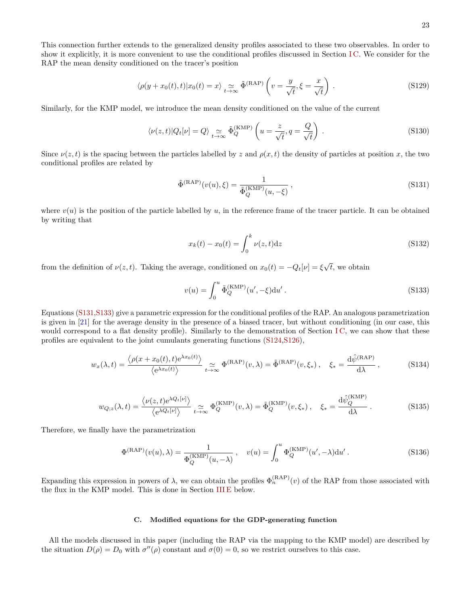This connection further extends to the generalized density profiles associated to these two observables. In order to show it explicitly, it is more convenient to use the conditional profiles discussed in Section [I C.](#page-8-0) We consider for the RAP the mean density conditioned on the tracer's position

$$
\langle \rho(y + x_0(t), t) | x_0(t) = x \rangle \underset{t \to \infty}{\sim} \tilde{\Phi}^{(\text{RAP})} \left( v = \frac{y}{\sqrt{t}}, \xi = \frac{x}{\sqrt{t}} \right) . \tag{S129}
$$

Similarly, for the KMP model, we introduce the mean density conditioned on the value of the current

$$
\langle \nu(z,t) | Q_t[\nu] = Q \rangle \underset{t \to \infty}{\simeq} \tilde{\Phi}_Q^{\text{(KMP)}} \left( u = \frac{z}{\sqrt{t}}, q = \frac{Q}{\sqrt{t}} \right) . \tag{S130}
$$

Since  $\nu(z, t)$  is the spacing between the particles labelled by *z* and  $\rho(x, t)$  the density of particles at position *x*, the two conditional profiles are related by

<span id="page-22-1"></span>
$$
\tilde{\Phi}^{(\text{RAP})}(v(u), \xi) = \frac{1}{\tilde{\Phi}_Q^{(\text{KMP})}(u, -\xi)},
$$
\n(S131)

where  $v(u)$  is the position of the particle labelled by  $u$ , in the reference frame of the tracer particle. It can be obtained by writing that

$$
x_k(t) - x_0(t) = \int_0^k \nu(z, t) dz
$$
 (S132)

from the definition of  $\nu(z, t)$ . Taking the average, conditioned on  $x_0(t) = -Q_t[\nu] = \xi$ √ *t*, we obtain

<span id="page-22-2"></span>
$$
v(u) = \int_0^u \tilde{\Phi}_Q^{(\text{KMP})}(u', -\xi) \mathrm{d}u' \,. \tag{S133}
$$

Equations [\(S131,](#page-22-1)[S133\)](#page-22-2) give a parametric expression for the conditional profiles of the RAP. An analogous parametrization is given in [\[21\]](#page-29-22) for the average density in the presence of a biased tracer, but without conditioning (in our case, this would correspond to a flat density profile). Similarly to the demonstration of Section IC, we can show that these profiles are equivalent to the joint cumulants generating functions [\(S124,](#page-21-1)[S126\)](#page-21-2),

$$
w_x(\lambda, t) = \frac{\langle \rho(x + x_0(t), t) e^{\lambda x_0(t)} \rangle}{\langle e^{\lambda x_0(t)} \rangle} \underset{t \to \infty}{\simeq} \Phi^{(\mathrm{RAP})}(v, \lambda) = \tilde{\Phi}^{(\mathrm{RAP})}(v, \xi_*) , \quad \xi_* = \frac{\mathrm{d}\hat{\psi}^{(\mathrm{RAP})}}{\mathrm{d}\lambda} , \tag{S134}
$$

$$
w_{Q;z}(\lambda,t) = \frac{\langle \nu(z,t) e^{\lambda Q_t[\nu]} \rangle}{\langle e^{\lambda Q_t[\nu]} \rangle} \underset{t \to \infty}{\simeq} \Phi_Q^{(\text{KMP})}(v,\lambda) = \tilde{\Phi}_Q^{(\text{KMP})}(v,\xi_*) , \quad \xi_* = \frac{\mathrm{d}\hat{\psi}_Q^{(\text{KMP})}}{\mathrm{d}\lambda} . \tag{S135}
$$

Therefore, we finally have the parametrization

$$
\Phi^{(\text{RAP})}(v(u), \lambda) = \frac{1}{\Phi_Q^{(\text{KMP})}(u, -\lambda)}, \quad v(u) = \int_0^u \Phi_Q^{(\text{KMP})}(u', -\lambda) \mathrm{d}u' \,. \tag{S136}
$$

Expanding this expression in powers of  $\lambda$ , we can obtain the profiles  $\Phi_n^{(RAP)}(v)$  of the RAP from those associated with the flux in the KMP model. This is done in Section [III E](#page-24-2) below.

# <span id="page-22-0"></span>**C. Modified equations for the GDP-generating function**

All the models discussed in this paper (including the RAP via the mapping to the KMP model) are described by the situation  $D(\rho) = D_0$  with  $\sigma''(\rho)$  constant and  $\sigma(0) = 0$ , so we restrict ourselves to this case.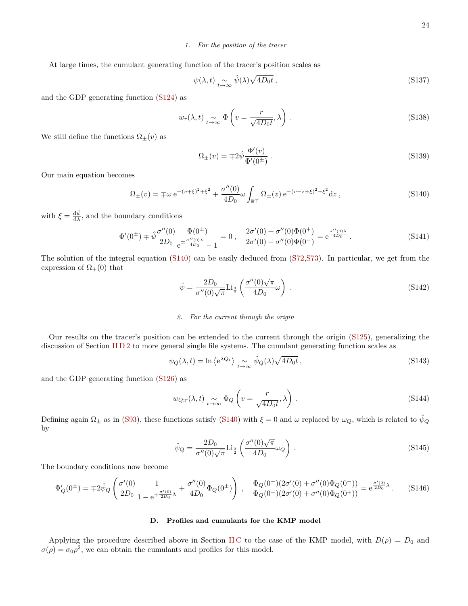# <span id="page-23-0"></span>*1. For the position of the tracer*

At large times, the cumulant generating function of the tracer's position scales as

$$
\psi(\lambda, t) \underset{t \to \infty}{\sim} \hat{\psi}(\lambda) \sqrt{4D_0 t} , \qquad (S137)
$$

and the GDP generating function [\(S124\)](#page-21-1) as

$$
w_r(\lambda, t) \underset{t \to \infty}{\sim} \Phi\left(v = \frac{r}{\sqrt{4D_0 t}}, \lambda\right). \tag{S138}
$$

We still define the functions  $\Omega_{\pm}(v)$  as

$$
\Omega_{\pm}(v) = \mp 2\hat{\psi}\frac{\Phi'(v)}{\Phi'(0^{\pm})}.
$$
\n(S139)

Our main equation becomes

<span id="page-23-3"></span>
$$
\Omega_{\pm}(v) = \mp \omega e^{-(v+\xi)^2 + \xi^2} + \frac{\sigma''(0)}{4D_0} \omega \int_{\mathbb{R}^+} \Omega_{\pm}(z) e^{-(v-z+\xi)^2 + \xi^2} dz,
$$
\n(S140)

with  $\xi = \frac{d\hat{\psi}}{d\lambda}$ , and the boundary conditions

$$
\Phi'(0^{\pm}) \mp \hat{\psi} \frac{\sigma''(0)}{2D_0} \frac{\Phi(0^{\pm})}{e^{\mp \frac{\sigma''(0)\lambda}{4D_0}} - 1} = 0 , \quad \frac{2\sigma'(0) + \sigma''(0)\Phi(0^{\pm})}{2\sigma'(0) + \sigma''(0)\Phi(0^-)} = e^{\frac{\sigma''(0)\lambda}{4D_0}} .
$$
\n(S141)

The solution of the integral equation [\(S140\)](#page-23-3) can be easily deduced from [\(S72,](#page-14-4)[S73\)](#page-14-5). In particular, we get from the expression of  $\Omega_{+}(0)$  that

$$
\hat{\psi} = \frac{2D_0}{\sigma''(0)\sqrt{\pi}} \text{Li}_{\frac{3}{2}}\left(\frac{\sigma''(0)\sqrt{\pi}}{4D_0}\omega\right) \,. \tag{S142}
$$

## <span id="page-23-1"></span>*2. For the current through the origin*

Our results on the tracer's position can be extended to the current through the origin [\(S125\)](#page-21-3), generalizing the discussion of Section [II D 2](#page-17-0) to more general single file systems. The cumulant generating function scales as

$$
\psi_Q(\lambda, t) = \ln \left\langle e^{\lambda Q_t} \right\rangle_{t \to \infty} \hat{\psi}_Q(\lambda) \sqrt{4D_0 t}, \qquad (S143)
$$

and the GDP generating function [\(S126\)](#page-21-2) as

$$
w_{Q;r}(\lambda,t) \underset{t \to \infty}{\sim} \Phi_Q \left( v = \frac{r}{\sqrt{4D_0 t}}, \lambda \right). \tag{S144}
$$

Defining again  $\Omega_{\pm}$  as in [\(S93\)](#page-17-4), these functions satisfy [\(S140\)](#page-23-3) with  $\xi = 0$  and  $\omega$  replaced by  $\omega_Q$ , which is related to  $\psi_Q$ by

$$
\hat{\psi}_Q = \frac{2D_0}{\sigma''(0)\sqrt{\pi}} \text{Li}_{\frac{3}{2}}\left(\frac{\sigma''(0)\sqrt{\pi}}{4D_0}\omega_Q\right) \,. \tag{S145}
$$

The boundary conditions now become

$$
\Phi'_{Q}(0^{\pm}) = \mp 2\hat{\psi}_{Q} \left( \frac{\sigma'(0)}{2D_{0}} \frac{1}{1 - e^{\mp \frac{\sigma'(0)}{2D_{0}}\lambda}} + \frac{\sigma''(0)}{4D_{0}} \Phi_{Q}(0^{\pm}) \right) , \quad \frac{\Phi_{Q}(0^{+})(2\sigma'(0) + \sigma''(0)\Phi_{Q}(0^{-}))}{\Phi_{Q}(0^{-})(2\sigma'(0) + \sigma''(0)\Phi_{Q}(0^{+}))} = e^{\frac{\sigma'(0)}{2D_{0}}\lambda} . \tag{S146}
$$

## <span id="page-23-2"></span>**D. Profiles and cumulants for the KMP model**

Applying the procedure described above in Section IIC to the case of the KMP model, with  $D(\rho) = D_0$  and  $\sigma(\rho) = \sigma_0 \rho^2$ , we can obtain the cumulants and profiles for this model.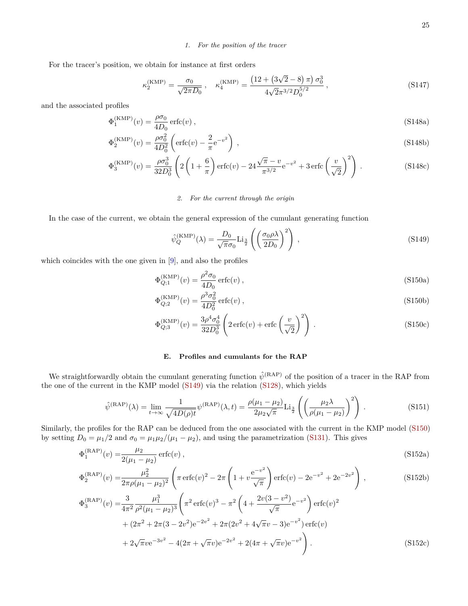# <span id="page-24-0"></span>*1. For the position of the tracer*

For the tracer's position, we obtain for instance at first orders

$$
\kappa_2^{\text{(KMP)}} = \frac{\sigma_0}{\sqrt{2\pi D_0}}, \quad \kappa_4^{\text{(KMP)}} = \frac{\left(12 + \left(3\sqrt{2} - 8\right)\pi\right)\sigma_0^3}{4\sqrt{2}\pi^{3/2}D_0^{5/2}},\tag{S147}
$$

and the associated profiles

$$
\Phi_1^{\text{(KMP)}}(v) = \frac{\rho \sigma_0}{4D_0} \operatorname{erfc}(v) , \qquad (S148a)
$$

$$
\Phi_2^{(\text{KMP})}(v) = \frac{\rho \sigma_0^2}{4D_0^2} \left( \text{erfc}(v) - \frac{2}{\pi} e^{-v^2} \right) ,\qquad (S148b)
$$

$$
\Phi_3^{\text{(KMP)}}(v) = \frac{\rho \sigma_0^3}{32D_0^3} \left( 2\left(1 + \frac{6}{\pi}\right) \text{erfc}(v) - 24 \frac{\sqrt{\pi} - v}{\pi^{3/2}} e^{-v^2} + 3 \text{erfc}\left(\frac{v}{\sqrt{2}}\right)^2 \right) \,. \tag{S148c}
$$

# <span id="page-24-1"></span>*2. For the current through the origin*

In the case of the current, we obtain the general expression of the cumulant generating function

<span id="page-24-4"></span><span id="page-24-3"></span>
$$
\hat{\psi}_Q^{\text{(KMP)}}(\lambda) = \frac{D_0}{\sqrt{\pi}\sigma_0} \text{Li}_{\frac{3}{2}}\left(\left(\frac{\sigma_0 \rho \lambda}{2D_0}\right)^2\right),\tag{S149}
$$

which coincides with the one given in [\[9\]](#page-29-10), and also the profiles

$$
\Phi_{Q;1}^{(\text{KMP})}(v) = \frac{\rho^2 \sigma_0}{4D_0} \operatorname{erfc}(v) , \qquad (S150a)
$$

$$
\Phi_{Q;2}^{(\text{KMP})}(v) = \frac{\rho^3 \sigma_0^2}{4D_0^2} \operatorname{erfc}(v) ,\qquad (S150b)
$$

$$
\Phi_{Q;3}^{(\text{KMP})}(v) = \frac{3\rho^4 \sigma_0^4}{32D_0^3} \left( 2\,\text{erfc}(v) + \text{erfc}\left(\frac{v}{\sqrt{2}}\right)^2 \right) \,. \tag{S150c}
$$

## <span id="page-24-2"></span>**E. Profiles and cumulants for the RAP**

We straightforwardly obtain the cumulant generating function  $\hat{\psi}^{(RAP)}$  of the position of a tracer in the RAP from the one of the current in the KMP model [\(S149\)](#page-24-3) via the relation [\(S128\)](#page-21-4), which yields

$$
\hat{\psi}^{(\text{RAP})}(\lambda) = \lim_{t \to \infty} \frac{1}{\sqrt{4D(\rho)t}} \psi^{(\text{RAP})}(\lambda, t) = \frac{\rho(\mu_1 - \mu_2)}{2\mu_2\sqrt{\pi}} \text{Li}_{\frac{3}{2}}\left(\left(\frac{\mu_2 \lambda}{\rho(\mu_1 - \mu_2)}\right)^2\right). \tag{S151}
$$

Similarly, the profiles for the RAP can be deduced from the one associated with the current in the KMP model [\(S150\)](#page-24-4) by setting  $D_0 = \mu_1/2$  and  $\sigma_0 = \mu_1\mu_2/(\mu_1 - \mu_2)$ , and using the parametrization [\(S131\)](#page-22-1). This gives

$$
\Phi_1^{(\text{RAP})}(v) = \frac{\mu_2}{2(\mu_1 - \mu_2)} \operatorname{erfc}(v) ,\tag{S152a}
$$

$$
\Phi_2^{(\text{RAP})}(v) = \frac{\mu_2^2}{2\pi\rho(\mu_1 - \mu_2)^2} \left( \pi \operatorname{erfc}(v)^2 - 2\pi \left( 1 + v \frac{e^{-v^2}}{\sqrt{\pi}} \right) \operatorname{erfc}(v) - 2e^{-v^2} + 2e^{-2v^2} \right) ,\tag{S152b}
$$

$$
\Phi_3^{(\text{RAP})}(v) = \frac{3}{4\pi^2} \frac{\mu_1^3}{\rho^2 (\mu_1 - \mu_2)^3} \left( \pi^2 \operatorname{erfc}(v)^3 - \pi^2 \left( 4 + \frac{2v(3 - v^2)}{\sqrt{\pi}} e^{-v^2} \right) \operatorname{erfc}(v)^2 + (2\pi^2 + 2\pi (3 - 2v^2) e^{-2v^2} + 2\pi (2v^2 + 4\sqrt{\pi}v - 3) e^{-v^2}) \operatorname{erfc}(v) + 2\sqrt{\pi} v e^{-3v^2} - 4(2\pi + \sqrt{\pi}v) e^{-2v^2} + 2(4\pi + \sqrt{\pi}v) e^{-v^2} \right).
$$
\n(S152c)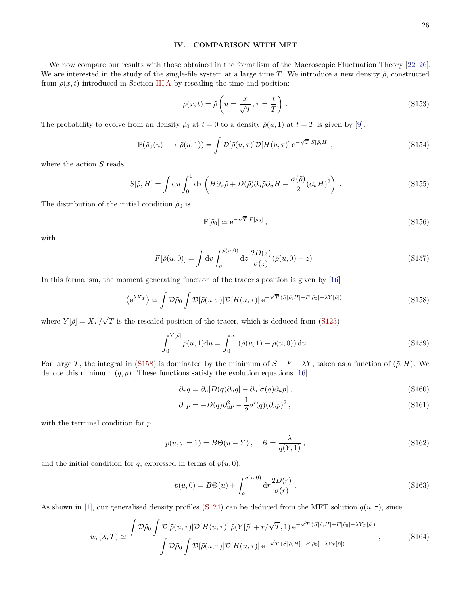# <span id="page-25-0"></span>**IV. COMPARISON WITH MFT**

We now compare our results with those obtained in the formalism of the Macroscopic Fluctuation Theory [\[22–](#page-29-23)[26\]](#page-29-24). We are interested in the study of the single-file system at a large time *T*. We introduce a new density  $\tilde{\rho}$ , constructed from  $\rho(x, t)$  introduced in Section [III A](#page-20-2) by rescaling the time and position:

$$
\rho(x,t) = \tilde{\rho}\left(u = \frac{x}{\sqrt{T}}, \tau = \frac{t}{T}\right). \tag{S153}
$$

The probability to evolve from an density  $\tilde{\rho}_0$  at  $t = 0$  to a density  $\tilde{\rho}(u, 1)$  at  $t = T$  is given by [\[9\]](#page-29-10):

$$
\mathbb{P}(\tilde{\rho}_0(u) \longrightarrow \tilde{\rho}(u, 1)) = \int \mathcal{D}[\tilde{\rho}(u, \tau)] \mathcal{D}[H(u, \tau)] e^{-\sqrt{T} S[\tilde{\rho}, H]},
$$
\n(S154)

where the action *S* reads

$$
S[\tilde{\rho}, H] = \int du \int_0^1 d\tau \left( H \partial_\tau \tilde{\rho} + D(\tilde{\rho}) \partial_u \tilde{\rho} \partial_u H - \frac{\sigma(\tilde{\rho})}{2} (\partial_u H)^2 \right) . \tag{S155}
$$

The distribution of the initial condition  $\tilde{\rho}_0$  is

$$
\mathbb{P}[\tilde{\rho}_0] \simeq e^{-\sqrt{T} F[\tilde{\rho}_0]},\tag{S156}
$$

with

$$
F[\tilde{\rho}(u,0)] = \int dv \int_{\rho}^{\tilde{\rho}(u,0)} dz \frac{2D(z)}{\sigma(z)} (\tilde{\rho}(u,0) - z) . \tag{S157}
$$

In this formalism, the moment generating function of the tracer's position is given by [\[16\]](#page-29-17)

<span id="page-25-1"></span>
$$
\left\langle e^{\lambda X_T} \right\rangle \simeq \int \mathcal{D}\tilde{\rho}_0 \int \mathcal{D}[\tilde{\rho}(u,\tau)] \mathcal{D}[H(u,\tau)] \, e^{-\sqrt{T} \, (S[\tilde{\rho},H]+F[\tilde{\rho}_0]-\lambda Y[\tilde{\rho}])} \,, \tag{S158}
$$

where  $Y[\tilde{\rho}] = X_T / \rho$ √ *T* is the rescaled position of the tracer, which is deduced from [\(S123\)](#page-21-5):

<span id="page-25-6"></span>
$$
\int_0^{Y[\tilde{\rho}]} \tilde{\rho}(u,1) \mathrm{d}u = \int_0^{\infty} \left( \tilde{\rho}(u,1) - \tilde{\rho}(u,0) \right) \mathrm{d}u.
$$
 (S159)

For large *T*, the integral in [\(S158\)](#page-25-1) is dominated by the minimum of  $S + F - \lambda Y$ , taken as a function of  $(\tilde{\rho}, H)$ . We denote this minimum  $(q, p)$ . These functions satisfy the evolution equations [\[16\]](#page-29-17)

<span id="page-25-4"></span><span id="page-25-3"></span>
$$
\partial_{\tau}q = \partial_{u}[D(q)\partial_{u}q] - \partial_{u}[\sigma(q)\partial_{u}p], \qquad (S160)
$$

$$
\partial_{\tau} p = -D(q)\partial_u^2 p - \frac{1}{2}\sigma'(q)(\partial_u p)^2 , \qquad (S161)
$$

with the terminal condition for *p*

<span id="page-25-2"></span>
$$
p(u, \tau = 1) = B\Theta(u - Y), \quad B = \frac{\lambda}{q(Y, 1)}, \tag{S162}
$$

and the initial condition for  $q$ , expressed in terms of  $p(u, 0)$ :

<span id="page-25-5"></span>
$$
p(u,0) = B\Theta(u) + \int_{\rho}^{q(u,0)} dr \frac{2D(r)}{\sigma(r)}.
$$
 (S163)

As shown in [\[1\]](#page-29-2), our generalised density profiles [\(S124\)](#page-21-1) can be deduced from the MFT solution  $q(u, \tau)$ , since

$$
w_r(\lambda, T) \simeq \frac{\int \mathcal{D}\tilde{\rho}_0 \int \mathcal{D}[\tilde{\rho}(u,\tau)] \mathcal{D}[H(u,\tau)] \ \tilde{\rho}(Y[\tilde{\rho}] + r/\sqrt{T}, 1) e^{-\sqrt{T} (S[\tilde{\rho}, H] + F[\tilde{\rho}_0] - \lambda Y_T[\tilde{\rho}])}}{\int \mathcal{D}\tilde{\rho}_0 \int \mathcal{D}[\tilde{\rho}(u,\tau)] \mathcal{D}[H(u,\tau)] e^{-\sqrt{T} (S[\tilde{\rho}, H] + F[\tilde{\rho}_0] - \lambda Y_T[\tilde{\rho}])}},
$$
(S164)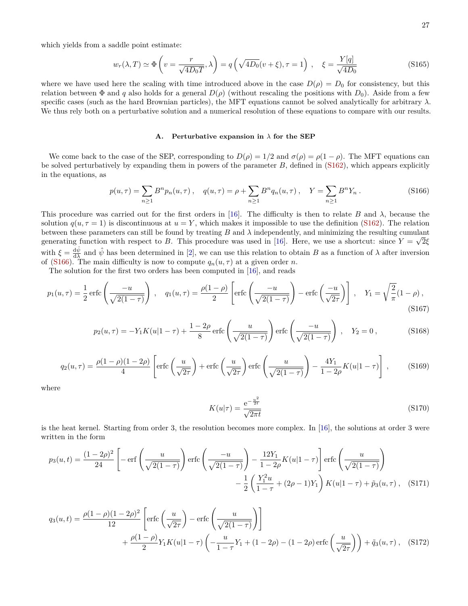which yields from a saddle point estimate:

<span id="page-26-2"></span>
$$
w_r(\lambda, T) \simeq \Phi\left(v = \frac{r}{\sqrt{4D_0T}}, \lambda\right) = q\left(\sqrt{4D_0}(v+\xi), \tau = 1\right), \quad \xi = \frac{Y[q]}{\sqrt{4D_0}}
$$
(S165)

where we have used here the scaling with time introduced above in the case  $D(\rho) = D_0$  for consistency, but this relation between  $\Phi$  and *q* also holds for a general  $D(\rho)$  (without rescaling the positions with  $D_0$ ). Aside from a few specific cases (such as the hard Brownian particles), the MFT equations cannot be solved analytically for arbitrary  $\lambda$ . We thus rely both on a perturbative solution and a numerical resolution of these equations to compare with our results.

#### <span id="page-26-0"></span>**A. Perturbative expansion in** *λ* **for the SEP**

We come back to the case of the SEP, corresponding to  $D(\rho) = 1/2$  and  $\sigma(\rho) = \rho(1-\rho)$ . The MFT equations can be solved perturbatively by expanding them in powers of the parameter *B*, defined in [\(S162\)](#page-25-2), which appears explicitly in the equations, as

<span id="page-26-1"></span>
$$
p(u,\tau) = \sum_{n\geq 1} B^n p_n(u,\tau) , \quad q(u,\tau) = \rho + \sum_{n\geq 1} B^n q_n(u,\tau) , \quad Y = \sum_{n\geq 1} B^n Y_n .
$$
 (S166)

This procedure was carried out for the first orders in [\[16\]](#page-29-17). The difficulty is then to relate *B* and *λ*, because the solution  $q(u, \tau = 1)$  is discontinuous at  $u = Y$ , which makes it impossible to use the definition [\(S162\)](#page-25-2). The relation between these parameters can still be found by treating *B* and  $\lambda$  independently, and minimizing the resulting cumulant generating function with respect to *B*. This procedure was used in [\[16\]](#page-29-17). Here, we use a shortcut: since  $Y = \sqrt{2\xi}$ with  $\xi = \frac{d\hat{\psi}}{d\lambda}$  and  $\hat{\psi}$  has been determined in [\[2\]](#page-29-3), we can use this relation to obtain *B* as a function of  $\lambda$  after inversion of [\(S166\)](#page-26-1). The main difficulty is now to compute  $q_n(u, \tau)$  at a given order *n*.

The solution for the first two orders has been computed in [\[16\]](#page-29-17), and reads

$$
p_1(u,\tau) = \frac{1}{2}\operatorname{erfc}\left(\frac{-u}{\sqrt{2(1-\tau)}}\right), \quad q_1(u,\tau) = \frac{\rho(1-\rho)}{2}\left[\operatorname{erfc}\left(\frac{-u}{\sqrt{2(1-\tau)}}\right) - \operatorname{erfc}\left(\frac{-u}{\sqrt{2\tau}}\right)\right], \quad Y_1 = \sqrt{\frac{2}{\pi}}(1-\rho),\tag{S167}
$$

$$
p_2(u,\tau) = -Y_1 K(u|1-\tau) + \frac{1-2\rho}{8} \operatorname{erfc}\left(\frac{u}{\sqrt{2(1-\tau)}}\right) \operatorname{erfc}\left(\frac{-u}{\sqrt{2(1-\tau)}}\right), \quad Y_2 = 0,
$$
 (S168)

$$
q_2(u,\tau) = \frac{\rho(1-\rho)(1-2\rho)}{4} \left[ \text{erfc}\left(\frac{u}{\sqrt{2\tau}}\right) + \text{erfc}\left(\frac{u}{\sqrt{2\tau}}\right) \text{erfc}\left(\frac{u}{\sqrt{2(1-\tau)}}\right) - \frac{4Y_1}{1-2\rho} K(u|1-\tau) \right],\tag{S169}
$$

where

$$
K(u|\tau) = \frac{e^{-\frac{u^2}{2t}}}{\sqrt{2\pi t}}
$$
\n(S170)

is the heat kernel. Starting from order 3, the resolution becomes more complex. In [\[16\]](#page-29-17), the solutions at order 3 were written in the form

$$
p_3(u,t) = \frac{(1-2\rho)^2}{24} \left[ -\operatorname{erf}\left(\frac{u}{\sqrt{2(1-\tau)}}\right) \operatorname{erfc}\left(\frac{-u}{\sqrt{2(1-\tau)}}\right) - \frac{12Y_1}{1-2\rho} K(u|1-\tau) \right] \operatorname{erfc}\left(\frac{u}{\sqrt{2(1-\tau)}}\right) - \frac{1}{2} \left(\frac{Y_1^2 u}{1-\tau} + (2\rho - 1)Y_1\right) K(u|1-\tau) + \tilde{p}_3(u,\tau), \quad (S171)
$$

$$
q_3(u,t) = \frac{\rho(1-\rho)(1-2\rho)^2}{12} \left[ \text{erfc}\left(\frac{u}{\sqrt{2\tau}}\right) - \text{erfc}\left(\frac{u}{\sqrt{2(1-\tau)}}\right) \right] + \frac{\rho(1-\rho)}{2} Y_1 K(u|1-\tau) \left( -\frac{u}{1-\tau} Y_1 + (1-2\rho) - (1-2\rho) \text{erfc}\left(\frac{u}{\sqrt{2\tau}}\right) \right) + \tilde{q}_3(u,\tau) , \quad (S172)
$$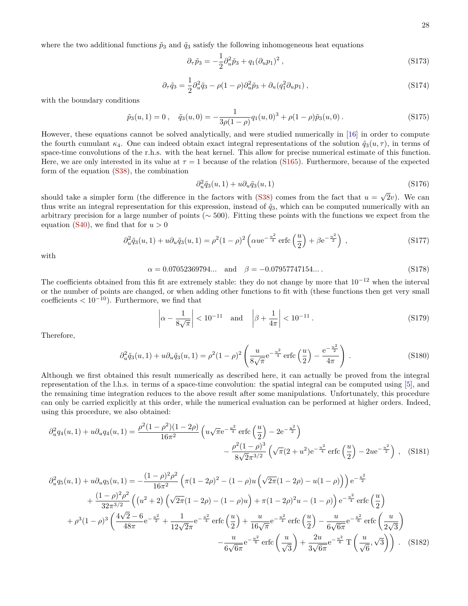where the two additional functions  $\tilde{p}_3$  and  $\tilde{q}_3$  satisfy the following inhomogeneous heat equations

$$
\partial_{\tau}\tilde{p}_3 = -\frac{1}{2}\partial_u^2 \tilde{p}_3 + q_1(\partial_u p_1)^2 \,, \tag{S173}
$$

$$
\partial_{\tau}\tilde{q}_3 = \frac{1}{2}\partial_u^2 \tilde{q}_3 - \rho(1-\rho)\partial_u^2 \tilde{p}_3 + \partial_u(q_1^2 \partial_u p_1) , \qquad (S174)
$$

with the boundary conditions

$$
\tilde{p}_3(u,1) = 0\,, \quad \tilde{q}_3(u,0) = -\frac{1}{3\rho(1-\rho)}q_1(u,0)^3 + \rho(1-\rho)\tilde{p}_3(u,0)\,.
$$
\n(S175)

However, these equations cannot be solved analytically, and were studied numerically in [\[16\]](#page-29-17) in order to compute the fourth cumulant  $\kappa_4$ . One can indeed obtain exact integral representations of the solution  $\tilde{q}_3(u, \tau)$ , in terms of space-time convolutions of the r.h.s. with the heat kernel. This allow for precise numerical estimate of this function. Here, we are only interested in its value at  $\tau = 1$  because of the relation [\(S165\)](#page-26-2). Furthermore, because of the expected form of the equation [\(S38\)](#page-10-9), the combination

$$
\partial_u^2 \tilde{q}_3(u,1) + u \partial_u \tilde{q}_3(u,1) \tag{S176}
$$

should take a simpler form (the difference in the factors with  $(S38)$  comes from the fact that  $u =$ √ 2*v*). We can thus write an integral representation for this expression, instead of  $\tilde{q}_3$ , which can be computed numerically with an arbitrary precision for a large number of points ( $\sim$  500). Fitting these points with the functions we expect from the equation [\(S40\)](#page-11-0), we find that for  $u > 0$ 

$$
\partial_u^2 \tilde{q}_3(u,1) + u \partial_u \tilde{q}_3(u,1) = \rho^2 (1-\rho)^2 \left( \alpha u e^{-\frac{u^2}{4}} \operatorname{erfc}\left(\frac{u}{2}\right) + \beta e^{-\frac{u^2}{2}} \right) ,\tag{S177}
$$

with

$$
\alpha = 0.07052369794... \quad \text{and} \quad \beta = -0.07957747154... \tag{S178}
$$

The coefficients obtained from this fit are extremely stable: they do not change by more that  $10^{-12}$  when the interval or the number of points are changed, or when adding other functions to fit with (these functions then get very small coefficients  $< 10^{-10}$ ). Furthermore, we find that

$$
\left|\alpha - \frac{1}{8\sqrt{\pi}}\right| < 10^{-11}
$$
 and  $\left|\beta + \frac{1}{4\pi}\right| < 10^{-11}$ . (S179)

Therefore,

$$
\partial_u^2 \tilde{q}_3(u,1) + u \partial_u \tilde{q}_3(u,1) = \rho^2 (1-\rho)^2 \left( \frac{u}{8\sqrt{\pi}} e^{-\frac{u^2}{4}} \operatorname{erfc} \left( \frac{u}{2} \right) - \frac{e^{-\frac{u^2}{2}}}{4\pi} \right) . \tag{S180}
$$

Although we first obtained this result numerically as described here, it can actually be proved from the integral representation of the l.h.s. in terms of a space-time convolution: the spatial integral can be computed using [\[5\]](#page-29-6), and the remaining time integration reduces to the above result after some manipulations. Unfortunately, this procedure can only be carried explicitly at this order, while the numerical evaluation can be performed at higher orders. Indeed, using this procedure, we also obtained:

$$
\partial_u^2 q_4(u,1) + u \partial_u q_4(u,1) = \frac{\rho^2 (1 - \rho^2)(1 - 2\rho)}{16\pi^2} \left( u \sqrt{\pi} e^{-\frac{u^2}{4}} \operatorname{erfc}\left(\frac{u}{2}\right) - 2e^{-\frac{u^2}{2}} \right) - \frac{\rho^2 (1 - \rho)^3}{8\sqrt{2}\pi^{3/2}} \left( \sqrt{\pi} (2 + u^2) e^{-\frac{u^2}{4}} \operatorname{erfc}\left(\frac{u}{2}\right) - 2u e^{-\frac{u^2}{2}} \right), \quad (S181)
$$

$$
\partial_u^2 q_5(u,1) + u \partial_u q_5(u,1) = -\frac{(1-\rho)^2 \rho^2}{16\pi^2} \left( \pi (1-2\rho)^2 - (1-\rho)u \left( \sqrt{2\pi} (1-2\rho) - u(1-\rho) \right) \right) e^{-\frac{u^2}{2}} \n+ \frac{(1-\rho)^2 \rho^2}{32\pi^{3/2}} \left( (u^2+2) \left( \sqrt{2\pi} (1-2\rho) - (1-\rho)u \right) + \pi (1-2\rho)^2 u - (1-\rho) \right) e^{-\frac{u^2}{4}} \operatorname{erfc} \left( \frac{u}{2} \right) \n+ \rho^3 (1-\rho)^3 \left( \frac{4\sqrt{2}-6}{48\pi} e^{-\frac{u^2}{2}} + \frac{1}{12\sqrt{2}\pi} e^{-\frac{u^2}{4}} \operatorname{erfc} \left( \frac{u}{2} \right) + \frac{u}{16\sqrt{\pi}} e^{-\frac{u^2}{4}} \operatorname{erfc} \left( \frac{u}{2} \right) - \frac{u}{6\sqrt{6\pi}} e^{-\frac{u^2}{6}} \operatorname{erfc} \left( \frac{u}{2\sqrt{3}} \right) \n- \frac{u}{6\sqrt{6\pi}} e^{-\frac{u^2}{6}} \operatorname{erfc} \left( \frac{u}{\sqrt{3}} \right) + \frac{2u}{3\sqrt{6\pi}} e^{-\frac{u^2}{6}} \operatorname{T} \left( \frac{u}{\sqrt{6}}, \sqrt{3} \right) \right). \tag{S182}
$$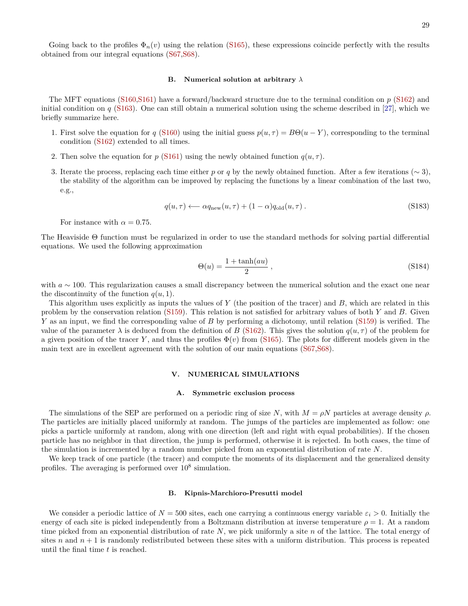Going back to the profiles  $\Phi_n(v)$  using the relation [\(S165\)](#page-26-2), these expressions coincide perfectly with the results obtained from our integral equations [\(S67,](#page-13-3)[S68\)](#page-13-4).

## <span id="page-28-0"></span>**B. Numerical solution at arbitrary** *λ*

The MFT equations [\(S160,](#page-25-3)[S161\)](#page-25-4) have a forward/backward structure due to the terminal condition on *p* [\(S162\)](#page-25-2) and initial condition on *q* [\(S163\)](#page-25-5). One can still obtain a numerical solution using the scheme described in [\[27\]](#page-30-0), which we briefly summarize here.

- 1. First solve the equation for *q* [\(S160\)](#page-25-3) using the initial guess  $p(u, \tau) = B\Theta(u Y)$ , corresponding to the terminal condition [\(S162\)](#page-25-2) extended to all times.
- 2. Then solve the equation for *p* [\(S161\)](#page-25-4) using the newly obtained function  $q(u, \tau)$ .
- 3. Iterate the process, replacing each time either *p* or *q* by the newly obtained function. After a few iterations ( $\sim$  3), the stability of the algorithm can be improved by replacing the functions by a linear combination of the last two, e.g.,

$$
q(u,\tau) \longleftarrow \alpha q_{\text{new}}(u,\tau) + (1-\alpha)q_{\text{old}}(u,\tau). \tag{S183}
$$

For instance with  $\alpha = 0.75$ .

The Heaviside Θ function must be regularized in order to use the standard methods for solving partial differential equations. We used the following approximation

$$
\Theta(u) = \frac{1 + \tanh(au)}{2} \,,\tag{S184}
$$

with *a* ∼ 100. This regularization causes a small discrepancy between the numerical solution and the exact one near the discontinuity of the function  $q(u, 1)$ .

This algorithm uses explicitly as inputs the values of *Y* (the position of the tracer) and *B*, which are related in this problem by the conservation relation [\(S159\)](#page-25-6). This relation is not satisfied for arbitrary values of both *Y* and *B*. Given *Y* as an input, we find the corresponding value of *B* by performing a dichotomy, until relation [\(S159\)](#page-25-6) is verified. The value of the parameter  $\lambda$  is deduced from the definition of *B* [\(S162\)](#page-25-2). This gives the solution  $q(u, \tau)$  of the problem for a given position of the tracer *Y*, and thus the profiles  $\Phi(v)$  from [\(S165\)](#page-26-2). The plots for different models given in the main text are in excellent agreement with the solution of our main equations [\(S67,](#page-13-3)[S68\)](#page-13-4).

## <span id="page-28-1"></span>**V. NUMERICAL SIMULATIONS**

#### <span id="page-28-2"></span>**A. Symmetric exclusion process**

The simulations of the SEP are performed on a periodic ring of size N, with  $M = \rho N$  particles at average density  $\rho$ . The particles are initially placed uniformly at random. The jumps of the particles are implemented as follow: one picks a particle uniformly at random, along with one direction (left and right with equal probabilities). If the chosen particle has no neighbor in that direction, the jump is performed, otherwise it is rejected. In both cases, the time of the simulation is incremented by a random number picked from an exponential distribution of rate *N*.

We keep track of one particle (the tracer) and compute the moments of its displacement and the generalized density profiles. The averaging is performed over  $10^8$  simulation.

## <span id="page-28-3"></span>**B. Kipnis-Marchioro-Presutti model**

We consider a periodic lattice of  $N = 500$  sites, each one carrying a continuous energy variable  $\varepsilon_i > 0$ . Initially the energy of each site is picked independently from a Boltzmann distribution at inverse temperature  $\rho = 1$ . At a random time picked from an exponential distribution of rate *N*, we pick uniformly a site *n* of the lattice. The total energy of sites *n* and  $n + 1$  is randomly redistributed between these sites with a uniform distribution. This process is repeated until the final time *t* is reached.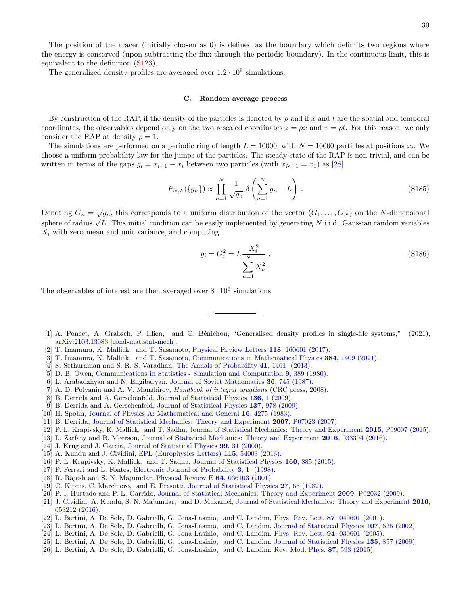The position of the tracer (initially chosen as 0) is defined as the boundary which delimits two regions where the energy is conserved (upon subtracting the flux through the periodic boundary). In the continuous limit, this is equivalent to the definition [\(S123\)](#page-21-5).

The generalized density profiles are averaged over  $1.2 \cdot 10^9$  simulations.

### <span id="page-29-0"></span>**C. Random-average process**

By construction of the RAP, if the density of the particles is denoted by *ρ* and if *x* and *t* are the spatial and temporal coordinates, the observables depend only on the two rescaled coordinates  $z = \rho x$  and  $\tau = \rho t$ . For this reason, we only consider the RAP at density  $\rho = 1$ .

The simulations are performed on a periodic ring of length  $L = 10000$ , with  $N = 10000$  particles at positions  $x_i$ . We choose a uniform probability law for the jumps of the particles. The steady state of the RAP is non-trivial, and can be written in terms of the gaps  $g_i = x_{i+1} - x_i$  between two particles (with  $x_{N+1} = x_1$ ) as [\[28\]](#page-30-1)

$$
P_{N,L}(\lbrace g_n \rbrace) \propto \prod_{n=1}^N \frac{1}{\sqrt{g_n}} \delta \left( \sum_{n=1}^N g_n - L \right). \tag{S185}
$$

Denoting  $G_n = \sqrt{g_n}$ , this corresponds to a uniform distribution of the vector  $(G_1, \ldots, G_N)$  on the *N*-dimensional  $\sum_{i=1}^{\infty}$   $G_n - \sqrt{g_n}$ , this corresponds to a unnorm distribution of the vector  $(G_1, \ldots, G_N)$  on the *I*v-dimensional sphere of radius  $\sqrt{L}$ . This initial condition can be easily implemented by generating *N* i.i.d.  $X_i$  with zero mean and unit variance, and computing

<span id="page-29-1"></span>
$$
g_i = G_i^2 = L \frac{X_i^2}{\sum_{n=1}^{N} X_n^2} \,. \tag{S186}
$$

The observables of interest are then averaged over  $8 \cdot 10^6$  simulations.

- <span id="page-29-2"></span>[1] A. Poncet, A. Grabsch, P. Illien, and O. Bénichou, "Generalised density profiles in single-file systems," (2021), [arXiv:2103.13083 \[cond-mat.stat-mech\].](http://arxiv.org/abs/2103.13083)
- <span id="page-29-3"></span>[2] T. Imamura, K. Mallick, and T. Sasamoto, [Physical Review Letters](https://link.aps.org/doi/10.1103/PhysRevLett.118.160601) **118**, 160601 (2017).
- <span id="page-29-4"></span>[3] T. Imamura, K. Mallick, and T. Sasamoto, [Communications in Mathematical Physics](http://dx.doi.org/10.1007/s00220-021-03954-x) **384**, 1409 (2021).
- <span id="page-29-5"></span>[4] S. Sethuraman and S. R. S. Varadhan, [The Annals of Probability](http://dx.doi.org/10.1214/11-AOP703) **41**, 1461 (2013).
- <span id="page-29-6"></span>[5] D. B. Owen, [Communications in Statistics - Simulation and Computation](http://dx.doi.org/10.1080/03610918008812164) **9**, 389 (1980).
- <span id="page-29-7"></span>[6] L. Arabadzhyan and N. Engibaryan, [Journal of Soviet Mathematics](http://dx.doi.org/10.1007/BF01085507) **36**, 745 (1987).
- <span id="page-29-8"></span>[7] A. D. Polyanin and A. V. Manzhirov, *Handbook of integral equations* (CRC press, 2008).
- <span id="page-29-9"></span>[8] B. Derrida and A. Gerschenfeld, [Journal of Statistical Physics](http://dx.doi.org/10.1007/s10955-009-9772-7) **136**, 1 (2009).
- <span id="page-29-10"></span>[9] B. Derrida and A. Gerschenfeld, [Journal of Statistical Physics](http://dx.doi.org/10.1007/s10955-009-9830-1) **137**, 978 (2009).
- <span id="page-29-11"></span>[10] H. Spohn, [Journal of Physics A: Mathematical and General](http://dx.doi.org/10.1088/0305-4470/16/18/029) **16**, 4275 (1983).
- <span id="page-29-12"></span>[11] B. Derrida, [Journal of Statistical Mechanics: Theory and Experiment](http://dx.doi.org/10.1088/1742-5468/2007/07/p07023) **2007**, P07023 (2007).
- <span id="page-29-13"></span>[12] P. L. Krapivsky, K. Mallick, and T. Sadhu, [Journal of Statistical Mechanics: Theory and Experiment](http://stacks.iop.org/1742-5468/2015/i=9/a=P09007) **2015**, P09007 (2015).
- <span id="page-29-14"></span>[13] L. Zarfaty and B. Meerson, [Journal of Statistical Mechanics: Theory and Experiment](http://dx.doi.org/10.1088/1742-5468/2016/03/033304) **2016**, 033304 (2016).
- <span id="page-29-15"></span>[14] J. Krug and J. Garcia, [Journal of Statistical Physics](http://dx.doi.org/10.1023/A:1018688421856) **99**, 31 (2000).
- <span id="page-29-16"></span>[15] A. Kundu and J. Cividini, [EPL \(Europhysics Letters\)](http://stacks.iop.org/0295-5075/115/i=5/a=54003) **115**, 54003 (2016).
- <span id="page-29-17"></span>[16] P. L. Krapivsky, K. Mallick, and T. Sadhu, [Journal of Statistical Physics](http://dx.doi.org/10.1007/s10955-015-1291-0) **160**, 885 (2015).
- <span id="page-29-18"></span>[17] P. Ferrari and L. Fontes, [Electronic Journal of Probability](http://dx.doi.org/10.1214/EJP.v3-28) **3**, 1 (1998).
- <span id="page-29-19"></span>[18] R. Rajesh and S. N. Majumdar, [Physical Review E](https://link.aps.org/doi/10.1103/PhysRevE.64.036103) **64**, 036103 (2001).
- <span id="page-29-20"></span>[19] C. Kipnis, C. Marchioro, and E. Presutti, [Journal of Statistical Physics](http://dx.doi.org/10.1007/BF01011740) **27**, 65 (1982).
- <span id="page-29-21"></span>[20] P. I. Hurtado and P. L. Garrido, [Journal of Statistical Mechanics: Theory and Experiment](http://dx.doi.org/10.1088/1742-5468/2009/02/p02032) **2009**, P02032 (2009).
- <span id="page-29-22"></span>[21] J. Cividini, A. Kundu, S. N. Majumdar, and D. Mukamel, [Journal of Statistical Mechanics: Theory and Experiment](http://stacks.iop.org/1742-5468/2016/i=5/a=053212) **2016**, [053212 \(2016\).](http://stacks.iop.org/1742-5468/2016/i=5/a=053212)
- <span id="page-29-23"></span>[22] L. Bertini, A. De Sole, D. Gabrielli, G. Jona-Lasinio, and C. Landim, [Phys. Rev. Lett.](http://dx.doi.org/ 10.1103/PhysRevLett.87.040601) **87**, 040601 (2001).
- [23] L. Bertini, A. De Sole, D. Gabrielli, G. Jona-Lasinio, and C. Landim, [Journal of Statistical Physics](http://dx.doi.org/ 10.1023/A:1014525911391) **107**, 635 (2002).
- [24] L. Bertini, A. De Sole, D. Gabrielli, G. Jona-Lasinio, and C. Landim, [Phys. Rev. Lett.](http://dx.doi.org/ 10.1103/PhysRevLett.94.030601) **94**, 030601 (2005).
- [25] L. Bertini, A. De Sole, D. Gabrielli, G. Jona-Lasinio, and C. Landim, [Journal of Statistical Physics](http://dx.doi.org/ 10.1007/s10955-008-9670-4) **135**, 857 (2009).
- <span id="page-29-24"></span>[26] L. Bertini, A. De Sole, D. Gabrielli, G. Jona-Lasinio, and C. Landim, [Rev. Mod. Phys.](http://dx.doi.org/ 10.1103/RevModPhys.87.593) **87**, 593 (2015).